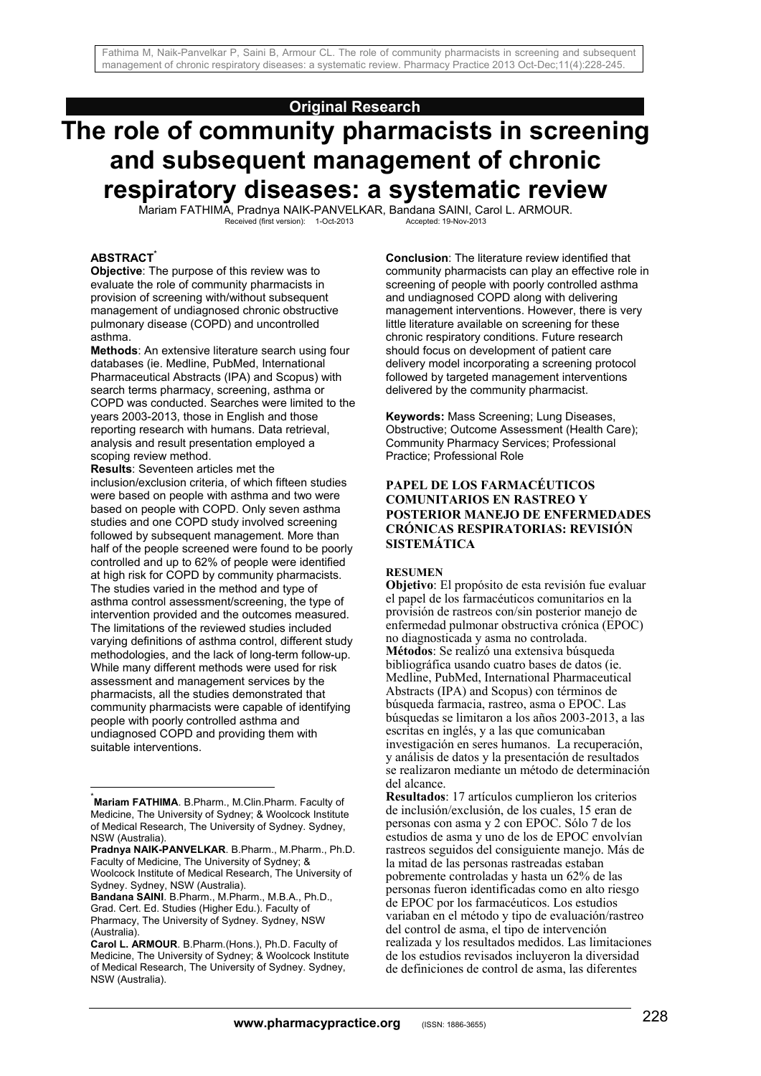## **Original Research**

# **The role of community pharmacists in screening and subsequent management of chronic respiratory diseases: a systematic review**

Mariam FATHIMA, Pradnya NAIK-PANVELKAR, Bandana SAINI, Carol L. ARMOUR.<br>Received (first version): 1-Oct-2013<br>Accepted: 19-Nov-2013 Received (first version): 1-Oct-2013

#### **ABSTRACT\***

**Objective**: The purpose of this review was to evaluate the role of community pharmacists in provision of screening with/without subsequent management of undiagnosed chronic obstructive pulmonary disease (COPD) and uncontrolled asthma.

**Methods**: An extensive literature search using four databases (ie. Medline, PubMed, International Pharmaceutical Abstracts (IPA) and Scopus) with search terms pharmacy, screening, asthma or COPD was conducted. Searches were limited to the years 2003-2013, those in English and those reporting research with humans. Data retrieval, analysis and result presentation employed a scoping review method.

**Results**: Seventeen articles met the inclusion/exclusion criteria, of which fifteen studies were based on people with asthma and two were based on people with COPD. Only seven asthma studies and one COPD study involved screening followed by subsequent management. More than half of the people screened were found to be poorly controlled and up to 62% of people were identified at high risk for COPD by community pharmacists. The studies varied in the method and type of asthma control assessment/screening, the type of intervention provided and the outcomes measured. The limitations of the reviewed studies included varying definitions of asthma control, different study methodologies, and the lack of long-term follow-up. While many different methods were used for risk assessment and management services by the pharmacists, all the studies demonstrated that community pharmacists were capable of identifying people with poorly controlled asthma and undiagnosed COPD and providing them with suitable interventions.

1

**Bandana SAINI**. B.Pharm., M.Pharm., M.B.A., Ph.D., Grad. Cert. Ed. Studies (Higher Edu.). Faculty of Pharmacy, The University of Sydney. Sydney, NSW (Australia).

**Conclusion**: The literature review identified that community pharmacists can play an effective role in screening of people with poorly controlled asthma and undiagnosed COPD along with delivering management interventions. However, there is very little literature available on screening for these chronic respiratory conditions. Future research should focus on development of patient care delivery model incorporating a screening protocol followed by targeted management interventions delivered by the community pharmacist.

**Keywords:** Mass Screening; Lung Diseases, Obstructive; Outcome Assessment (Health Care); Community Pharmacy Services; Professional Practice; Professional Role

## **PAPEL DE LOS FARMACÉUTICOS COMUNITARIOS EN RASTREO Y POSTERIOR MANEJO DE ENFERMEDADES CRÓNICAS RESPIRATORIAS: REVISIÓN SISTEMÁTICA**

#### **RESUMEN**

**Objetivo**: El propósito de esta revisión fue evaluar el papel de los farmacéuticos comunitarios en la provisión de rastreos con/sin posterior manejo de enfermedad pulmonar obstructiva crónica (EPOC) no diagnosticada y asma no controlada. **Métodos**: Se realizó una extensiva búsqueda bibliográfica usando cuatro bases de datos (ie. Medline, PubMed, International Pharmaceutical Abstracts (IPA) and Scopus) con términos de búsqueda farmacia, rastreo, asma o EPOC. Las búsquedas se limitaron a los años 2003-2013, a las escritas en inglés, y a las que comunicaban investigación en seres humanos. La recuperación, y análisis de datos y la presentación de resultados se realizaron mediante un método de determinación del alcance.

**Resultados**: 17 artículos cumplieron los criterios de inclusión/exclusión, de los cuales, 15 eran de personas con asma y 2 con EPOC. Sólo 7 de los estudios de asma y uno de los de EPOC envolvían rastreos seguidos del consiguiente manejo. Más de la mitad de las personas rastreadas estaban pobremente controladas y hasta un 62% de las personas fueron identificadas como en alto riesgo de EPOC por los farmacéuticos. Los estudios variaban en el método y tipo de evaluación/rastreo del control de asma, el tipo de intervención realizada y los resultados medidos. Las limitaciones de los estudios revisados incluyeron la diversidad de definiciones de control de asma, las diferentes

<sup>\*</sup> **Mariam FATHIMA**. B.Pharm., M.Clin.Pharm. Faculty of Medicine, The University of Sydney; & Woolcock Institute of Medical Research, The University of Sydney. Sydney, NSW (Australia).

**Pradnya NAIK-PANVELKAR**. B.Pharm., M.Pharm., Ph.D. Faculty of Medicine, The University of Sydney; &

Woolcock Institute of Medical Research, The University of Sydney. Sydney, NSW (Australia).

**Carol L. ARMOUR**. B.Pharm.(Hons.), Ph.D. Faculty of Medicine, The University of Sydney; & Woolcock Institute of Medical Research, The University of Sydney. Sydney, NSW (Australia).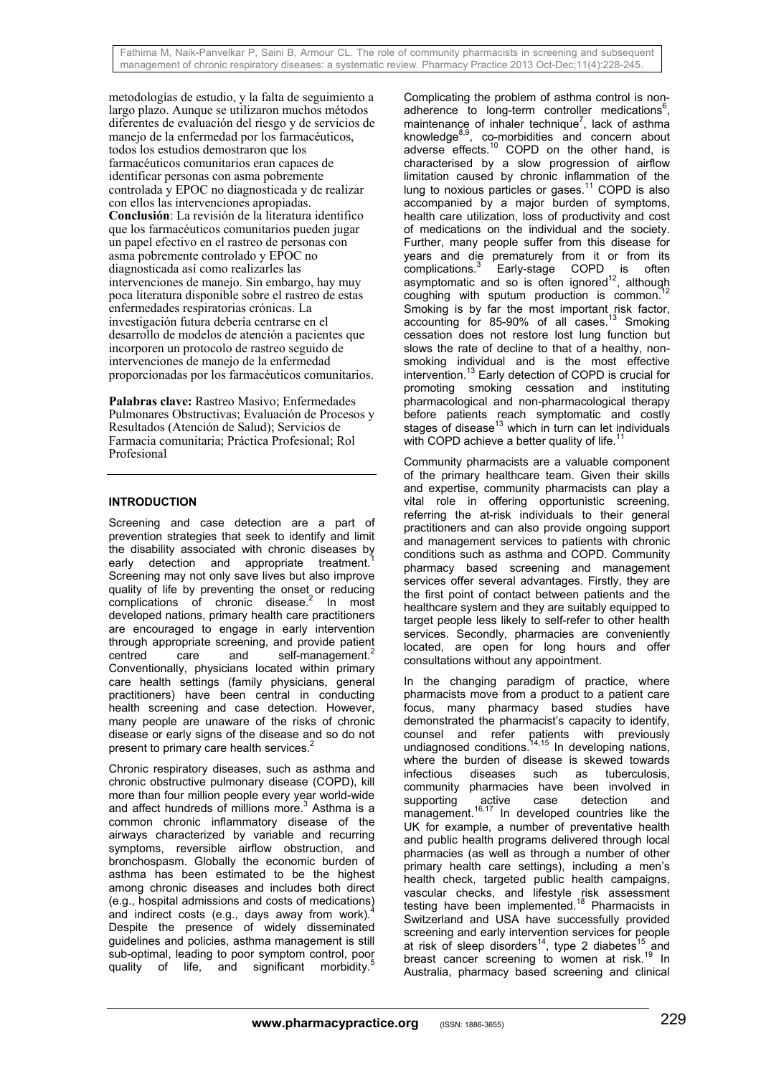metodologías de estudio, y la falta de seguimiento a largo plazo. Aunque se utilizaron muchos métodos diferentes de evaluación del riesgo y de servicios de manejo de la enfermedad por los farmacéuticos. todos los estudios demostraron que los farmacéuticos comunitarios eran capaces de identificar personas con asma pobremente controlada y EPOC no diagnosticada y de realizar con ellos las intervenciones apropiadas. **Conclusión**: La revisión de la literatura identifico que los farmacéuticos comunitarios pueden jugar un papel efectivo en el rastreo de personas con asma pobremente controlado y EPOC no diagnosticada así como realizarles las intervenciones de manejo. Sin embargo, hay muy poca literatura disponible sobre el rastreo de estas enfermedades respiratorias crónicas. La investigación futura debería centrarse en el desarrollo de modelos de atención a pacientes que incorporen un protocolo de rastreo seguido de intervenciones de manejo de la enfermedad proporcionadas por los farmacéuticos comunitarios.

**Palabras clave:** Rastreo Masivo; Enfermedades Pulmonares Obstructivas; Evaluación de Procesos y Resultados (Atención de Salud); Servicios de Farmacia comunitaria; Práctica Profesional; Rol Profesional

## **INTRODUCTION**

Screening and case detection are a part of prevention strategies that seek to identify and limit the disability associated with chronic diseases by early detection and appropriate treatment.<sup>1</sup> Screening may not only save lives but also improve quality of life by preventing the onset or reducing complications of chronic disease.<sup>2</sup> In most developed nations, primary health care practitioners are encouraged to engage in early intervention through appropriate screening, and provide patient centred care and self-management.<sup>2</sup> Conventionally, physicians located within primary care health settings (family physicians, general practitioners) have been central in conducting health screening and case detection. However, many people are unaware of the risks of chronic disease or early signs of the disease and so do not present to primary care health services.<sup>2</sup>

Chronic respiratory diseases, such as asthma and chronic obstructive pulmonary disease (COPD), kill more than four million people every year world-wide and affect hundreds of millions more.<sup>3</sup> Asthma is a common chronic inflammatory disease of the airways characterized by variable and recurring symptoms, reversible airflow obstruction, and bronchospasm. Globally the economic burden of asthma has been estimated to be the highest among chronic diseases and includes both direct (e.g., hospital admissions and costs of medications) and indirect costs (e.g., days away from work). Despite the presence of widely disseminated guidelines and policies, asthma management is still sub-optimal, leading to poor symptom control, poor quality of life, and significant morbidity.<sup>5</sup>

Complicating the problem of asthma control is nonadherence to long-term controller medications $6$ , maintenance of inhaler technique<sup>7</sup>, lack of asthma knowledge<sup>8,9</sup>, co-morbidities and concern about adverse effects.10 COPD on the other hand, is characterised by a slow progression of airflow limitation caused by chronic inflammation of the lung to noxious particles or gases. $11$  COPD is also accompanied by a major burden of symptoms, health care utilization, loss of productivity and cost of medications on the individual and the society. Further, many people suffer from this disease for years and die prematurely from it or from its complications.<sup>3</sup> Early-stage COPD is often asymptomatic and so is often ignored<sup>12</sup>, although coughing with sputum production is common. Smoking is by far the most important risk factor, accounting for 85-90% of all cases.<sup>13</sup> Smoking cessation does not restore lost lung function but slows the rate of decline to that of a healthy, nonsmoking individual and is the most effective intervention.13 Early detection of COPD is crucial for promoting smoking cessation and instituting pharmacological and non-pharmacological therapy before patients reach symptomatic and costly stages of disease<sup>13</sup> which in turn can let individuals with COPD achieve a better quality of life.<sup>11</sup>

Community pharmacists are a valuable component of the primary healthcare team. Given their skills and expertise, community pharmacists can play a vital role in offering opportunistic screening, referring the at-risk individuals to their general practitioners and can also provide ongoing support and management services to patients with chronic conditions such as asthma and COPD. Community pharmacy based screening and management services offer several advantages. Firstly, they are the first point of contact between patients and the healthcare system and they are suitably equipped to target people less likely to self-refer to other health services. Secondly, pharmacies are conveniently located, are open for long hours and offer consultations without any appointment.

In the changing paradigm of practice, where pharmacists move from a product to a patient care focus, many pharmacy based studies have demonstrated the pharmacist's capacity to identify, counsel and refer patients with previously undiagnosed conditions.<sup>14,15</sup> In developing nations, where the burden of disease is skewed towards infectious diseases such as tuberculosis, community pharmacies have been involved in supporting active case detection and management.<sup>16,17</sup> In developed countries like the UK for example, a number of preventative health and public health programs delivered through local pharmacies (as well as through a number of other primary health care settings), including a men's health check, targeted public health campaigns, vascular checks, and lifestyle risk assessment testing have been implemented.<sup>18</sup> Pharmacists in Switzerland and USA have successfully provided screening and early intervention services for people at risk of sleep disorders<sup>14</sup>, type 2 diabetes<sup>15</sup> and breast cancer screening to women at risk.<sup>19</sup> In Australia, pharmacy based screening and clinical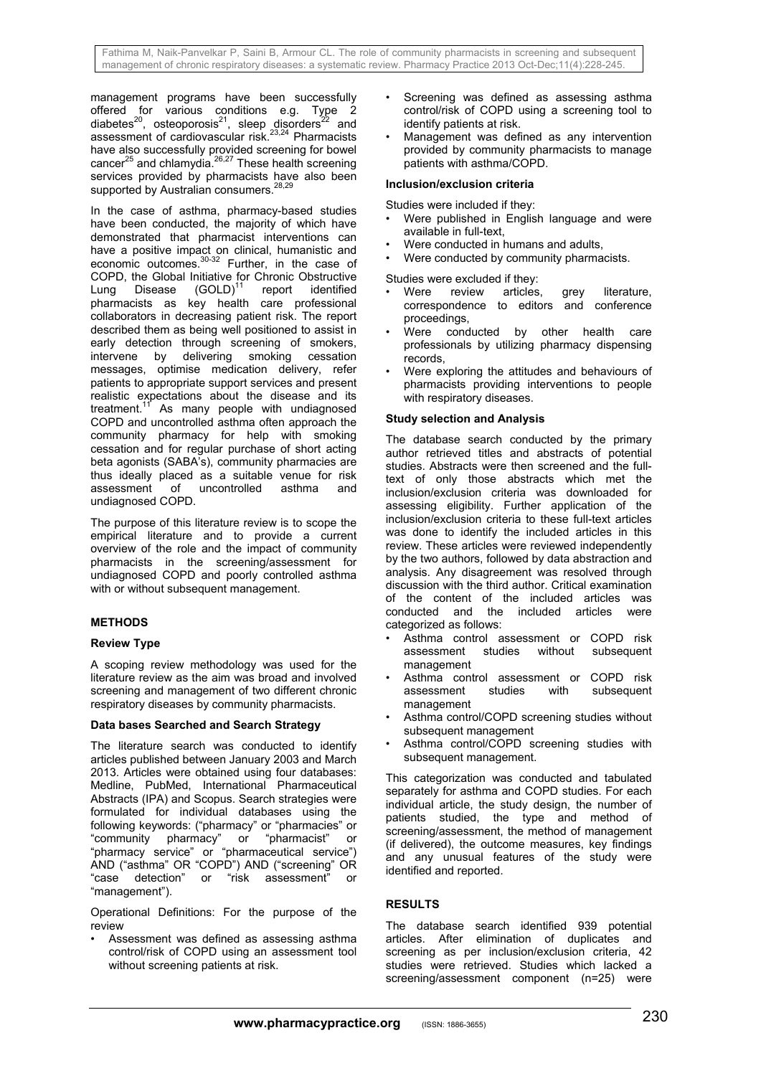management programs have been successfully offered for various conditions e.g. Type 2 diabetes<sup>20</sup>, osteoporosis<sup>21</sup>, sleep disorders<sup>22</sup> and assessment of cardiovascular risk.<sup>23,24</sup> Pharmacists have also successfully provided screening for bowel cancer $25$  and chlamydia. $26,27$  These health screening services provided by pharmacists have also been supported by Australian consumers.<sup>28</sup>

In the case of asthma, pharmacy-based studies have been conducted, the majority of which have demonstrated that pharmacist interventions can have a positive impact on clinical, humanistic and economic outcomes.<sup>30-32</sup> Further, in the case of COPD, the Global Initiative for Chronic Obstructive Lung Disease (GOLD)<sup>11</sup> report identified pharmacists as key health care professional collaborators in decreasing patient risk. The report described them as being well positioned to assist in early detection through screening of smokers, intervene by delivering smoking cessation messages, optimise medication delivery, refer patients to appropriate support services and present realistic expectations about the disease and its treatment.<sup>11</sup> As many people with undiagnosed COPD and uncontrolled asthma often approach the community pharmacy for help with smoking cessation and for regular purchase of short acting beta agonists (SABA's), community pharmacies are thus ideally placed as a suitable venue for risk assessment of uncontrolled asthma and undiagnosed COPD.

The purpose of this literature review is to scope the empirical literature and to provide a current overview of the role and the impact of community pharmacists in the screening/assessment for undiagnosed COPD and poorly controlled asthma with or without subsequent management.

## **METHODS**

## **Review Type**

A scoping review methodology was used for the literature review as the aim was broad and involved screening and management of two different chronic respiratory diseases by community pharmacists.

## **Data bases Searched and Search Strategy**

The literature search was conducted to identify articles published between January 2003 and March 2013. Articles were obtained using four databases: Medline, PubMed, International Pharmaceutical Abstracts (IPA) and Scopus. Search strategies were formulated for individual databases using the following keywords: ("pharmacy" or "pharmacies" or "community pharmacy" or "pharmacist" or "pharmacy service" or "pharmaceutical service") AND ("asthma" OR "COPD") AND ("screening" OR "case detection" or "risk assessment" "management").

Operational Definitions: For the purpose of the review

Assessment was defined as assessing asthma control/risk of COPD using an assessment tool without screening patients at risk.

- Screening was defined as assessing asthma control/risk of COPD using a screening tool to identify patients at risk.
- Management was defined as any intervention provided by community pharmacists to manage patients with asthma/COPD.

## **Inclusion/exclusion criteria**

Studies were included if they:

- Were published in English language and were available in full-text,
- Were conducted in humans and adults,
- Were conducted by community pharmacists.

Studies were excluded if they:

- Were review articles, grey literature, correspondence to editors and conference proceedings,
- Were conducted by other health care professionals by utilizing pharmacy dispensing records,
- Were exploring the attitudes and behaviours of pharmacists providing interventions to people with respiratory diseases.

## **Study selection and Analysis**

The database search conducted by the primary author retrieved titles and abstracts of potential studies. Abstracts were then screened and the fulltext of only those abstracts which met the inclusion/exclusion criteria was downloaded for assessing eligibility. Further application of the inclusion/exclusion criteria to these full-text articles was done to identify the included articles in this review. These articles were reviewed independently by the two authors, followed by data abstraction and analysis. Any disagreement was resolved through discussion with the third author. Critical examination of the content of the included articles was conducted and the included articles were categorized as follows:

- Asthma control assessment or COPD risk assessment studies without subsequent management
- Asthma control assessment or COPD risk assessment studies with subsequent management
- Asthma control/COPD screening studies without subsequent management
- Asthma control/COPD screening studies with subsequent management.

This categorization was conducted and tabulated separately for asthma and COPD studies. For each individual article, the study design, the number of patients studied, the type and method of screening/assessment, the method of management (if delivered), the outcome measures, key findings and any unusual features of the study were identified and reported.

## **RESULTS**

The database search identified 939 potential articles. After elimination of duplicates and screening as per inclusion/exclusion criteria, 42 studies were retrieved. Studies which lacked a screening/assessment component (n=25) were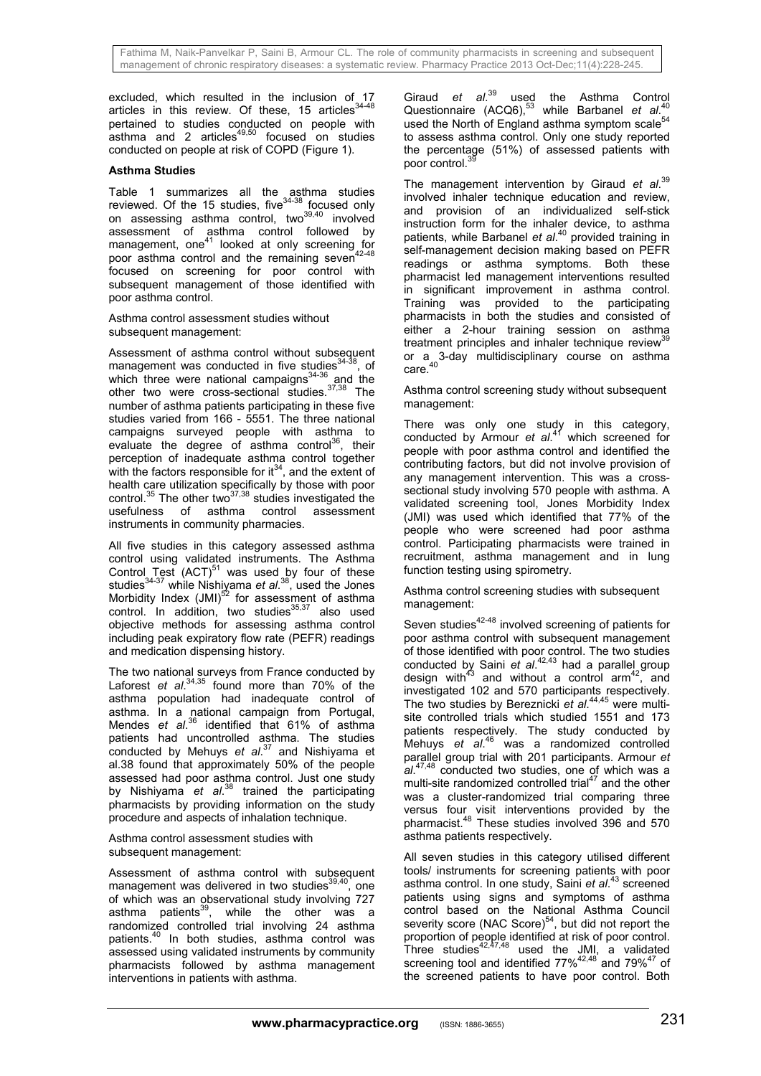excluded, which resulted in the inclusion of 17 articles in this review. Of these, 15 articles $34-48$ pertained to studies conducted on people with  $a$ sthma and 2 articles<sup>49,50</sup> focused on studies conducted on people at risk of COPD (Figure 1).

## **Asthma Studies**

Table 1 summarizes all the asthma studies reviewed. Of the 15 studies, five $34-38$  focused only on assessing asthma control, two<sup>39,40</sup> involved assessment of asthma control followed by management, one<sup>41</sup> looked at only screening for poor asthma control and the remaining seven<sup>42-48</sup> focused on screening for poor control with subsequent management of those identified with poor asthma control.

Asthma control assessment studies without subsequent management:

Assessment of asthma control without subsequent management was conducted in five studies<sup>34-38</sup>, of which three were national campaigns<sup>34-36</sup> and the other two were cross-sectional studies.37,38 The number of asthma patients participating in these five studies varied from 166 - 5551. The three national campaigns surveyed people with asthma to evaluate the degree of asthma control<sup>36</sup>, their perception of inadequate asthma control together with the factors responsible for  $it^{34}$ , and the extent of health care utilization specifically by those with poor control. $35$  The other two $37,38$  studies investigated the usefulness of asthma control assessment instruments in community pharmacies.

All five studies in this category assessed asthma control using validated instruments. The Asthma Control Test  $(ACT)^{51}$  was used by four of these studies34-37 while Nishiyama *et al*. 38, used the Jones Morbidity Index (JMI)<sup>52</sup> for assessment of asthma control. In addition, two studies<sup>35,37</sup> also used objective methods for assessing asthma control including peak expiratory flow rate (PEFR) readings and medication dispensing history.

The two national surveys from France conducted by Laforest *et al*. 34,35 found more than 70% of the asthma population had inadequate control of asthma. In a national campaign from Portugal, Mendes *et al*. 36 identified that 61% of asthma patients had uncontrolled asthma. The studies conducted by Mehuys *et al*. 37 and Nishiyama et al.38 found that approximately 50% of the people assessed had poor asthma control. Just one study by Nishiyama *et al*. 38 trained the participating pharmacists by providing information on the study procedure and aspects of inhalation technique.

Asthma control assessment studies with subsequent management:

Assessment of asthma control with subsequent management was delivered in two studies $39,40$ , one of which was an observational study involving 727 asthma patients<sup>39</sup>, while the other was a randomized controlled trial involving 24 asthma patients.40 In both studies, asthma control was assessed using validated instruments by community pharmacists followed by asthma management interventions in patients with asthma.

Giraud *et al*. 39 used the Asthma Control Questionnaire (ACQ6),<sup>53</sup> while Barbanel et al.<sup>40</sup> used the North of England asthma symptom scale<sup>54</sup> to assess asthma control. Only one study reported the percentage (51%) of assessed patients with poor control.<sup>39</sup>

The management intervention by Giraud *et al*. 39 involved inhaler technique education and review. and provision of an individualized self-stick instruction form for the inhaler device, to asthma patients, while Barbanel *et al*. 40 provided training in self-management decision making based on PEFR readings or asthma symptoms. Both these pharmacist led management interventions resulted in significant improvement in asthma control. Training was provided to the participating pharmacists in both the studies and consisted of either a 2-hour training session on asthma treatment principles and inhaler technique review<sup>39</sup> or a 3-day multidisciplinary course on asthma care.<sup>40</sup>

Asthma control screening study without subsequent management:

There was only one study in this category, conducted by Armour *et al*. 41 which screened for people with poor asthma control and identified the contributing factors, but did not involve provision of any management intervention. This was a crosssectional study involving 570 people with asthma. A validated screening tool, Jones Morbidity Index (JMI) was used which identified that 77% of the people who were screened had poor asthma control. Participating pharmacists were trained in recruitment, asthma management and in lung function testing using spirometry.

Asthma control screening studies with subsequent management:

Seven studies<sup>42-48</sup> involved screening of patients for poor asthma control with subsequent management of those identified with poor control. The two studies conducted by Saini *et al*. 42,43 had a parallel group design with<sup>43</sup> and without a control  $arm^{42}$ , and investigated 102 and 570 participants respectively. The two studies by Bereznicki *et al*. 44,45 were multisite controlled trials which studied 1551 and 173 patients respectively. The study conducted by Mehuys *et al*. 46 was a randomized controlled parallel group trial with 201 participants. Armour *et al*. 47,48 conducted two studies, one of which was a multi-site randomized controlled trial $47$  and the other was a cluster-randomized trial comparing three versus four visit interventions provided by the pharmacist.48 These studies involved 396 and 570 asthma patients respectively.

All seven studies in this category utilised different tools/ instruments for screening patients with poor asthma control. In one study, Saini *et al*. 43 screened patients using signs and symptoms of asthma control based on the National Asthma Council severity score (NAC Score) $54$ , but did not report the proportion of people identified at risk of poor control. Three studies $42,47,48$  used the JMI, a validated screening tool and identified  $77\%^{42,48}$  and  $79\%^{47}$  of the screened patients to have poor control. Both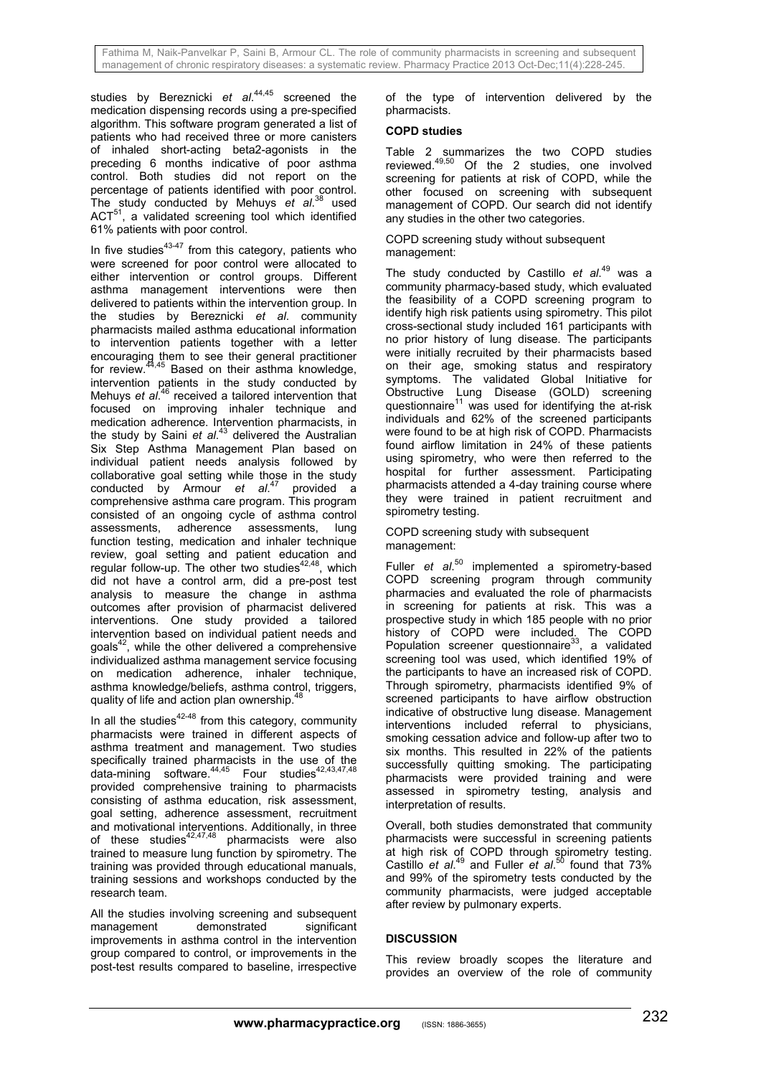studies by Bereznicki *et al*. 44,45 screened the medication dispensing records using a pre-specified algorithm. This software program generated a list of patients who had received three or more canisters of inhaled short-acting beta2-agonists in the preceding 6 months indicative of poor asthma control. Both studies did not report on the percentage of patients identified with poor control. The study conducted by Mehuys *et al*. 38 used ACT<sup>51</sup>, a validated screening tool which identified 61% patients with poor control.

In five studies $43-47$  from this category, patients who were screened for poor control were allocated to either intervention or control groups. Different asthma management interventions were then delivered to patients within the intervention group. In the studies by Bereznicki *et al*. community pharmacists mailed asthma educational information to intervention patients together with a letter encouraging them to see their general practitioner for review.<sup>44,45</sup> Based on their asthma knowledge, intervention patients in the study conducted by Mehuys *et al.<sup>46</sup>* received a tailored intervention that focused on improving inhaler technique and medication adherence. Intervention pharmacists, in the study by Saini *et al*. 43 delivered the Australian Six Step Asthma Management Plan based on individual patient needs analysis followed by collaborative goal setting while those in the study conducted by Armour *et al*. 47 provided a comprehensive asthma care program. This program consisted of an ongoing cycle of asthma control assessments, adherence assessments, lung function testing, medication and inhaler technique review, goal setting and patient education and regular follow-up. The other two studies<sup>42,48</sup>, which did not have a control arm, did a pre-post test analysis to measure the change in asthma outcomes after provision of pharmacist delivered interventions. One study provided a tailored intervention based on individual patient needs and goals $42$ , while the other delivered a comprehensive individualized asthma management service focusing on medication adherence, inhaler technique, asthma knowledge/beliefs, asthma control, triggers, quality of life and action plan ownership.<sup>4</sup>

In all the studies $42-48$  from this category, community pharmacists were trained in different aspects of asthma treatment and management. Two studies specifically trained pharmacists in the use of the data-mining software. $44,45$  Four studies $42,43,47,48$ provided comprehensive training to pharmacists consisting of asthma education, risk assessment, goal setting, adherence assessment, recruitment and motivational interventions. Additionally, in three of these studies $42,47,48$  pharmacists were also trained to measure lung function by spirometry. The training was provided through educational manuals, training sessions and workshops conducted by the research team.

All the studies involving screening and subsequent management demonstrated significant improvements in asthma control in the intervention group compared to control, or improvements in the post-test results compared to baseline, irrespective of the type of intervention delivered by the pharmacists.

## **COPD studies**

Table 2 summarizes the two COPD studies reviewed.<sup>49,50</sup> Of the 2 studies, one involved screening for patients at risk of COPD, while the other focused on screening with subsequent management of COPD. Our search did not identify any studies in the other two categories.

COPD screening study without subsequent management:

The study conducted by Castillo *et al*. 49 was a community pharmacy-based study, which evaluated the feasibility of a COPD screening program to identify high risk patients using spirometry. This pilot cross-sectional study included 161 participants with no prior history of lung disease. The participants were initially recruited by their pharmacists based on their age, smoking status and respiratory symptoms. The validated Global Initiative for Obstructive Lung Disease (GOLD) screening questionnaire<sup>11</sup> was used for identifying the at-risk individuals and 62% of the screened participants were found to be at high risk of COPD. Pharmacists found airflow limitation in 24% of these patients using spirometry, who were then referred to the hospital for further assessment. Participating pharmacists attended a 4-day training course where they were trained in patient recruitment and spirometry testing.

#### COPD screening study with subsequent management:

Fuller *et al*. 50 implemented a spirometry-based COPD screening program through community pharmacies and evaluated the role of pharmacists in screening for patients at risk. This was a prospective study in which 185 people with no prior history of COPD were included. The COPD Population screener questionnaire<sup>33</sup>, a validated screening tool was used, which identified 19% of the participants to have an increased risk of COPD. Through spirometry, pharmacists identified 9% of screened participants to have airflow obstruction indicative of obstructive lung disease. Management interventions included referral to physicians, smoking cessation advice and follow-up after two to six months. This resulted in 22% of the patients successfully quitting smoking. The participating pharmacists were provided training and were assessed in spirometry testing, analysis and interpretation of results.

Overall, both studies demonstrated that community pharmacists were successful in screening patients at high risk of COPD through spirometry testing. Castillo *et al*. 49 and Fuller *et al*. 50 found that 73% and 99% of the spirometry tests conducted by the community pharmacists, were judged acceptable after review by pulmonary experts.

## **DISCUSSION**

This review broadly scopes the literature and provides an overview of the role of community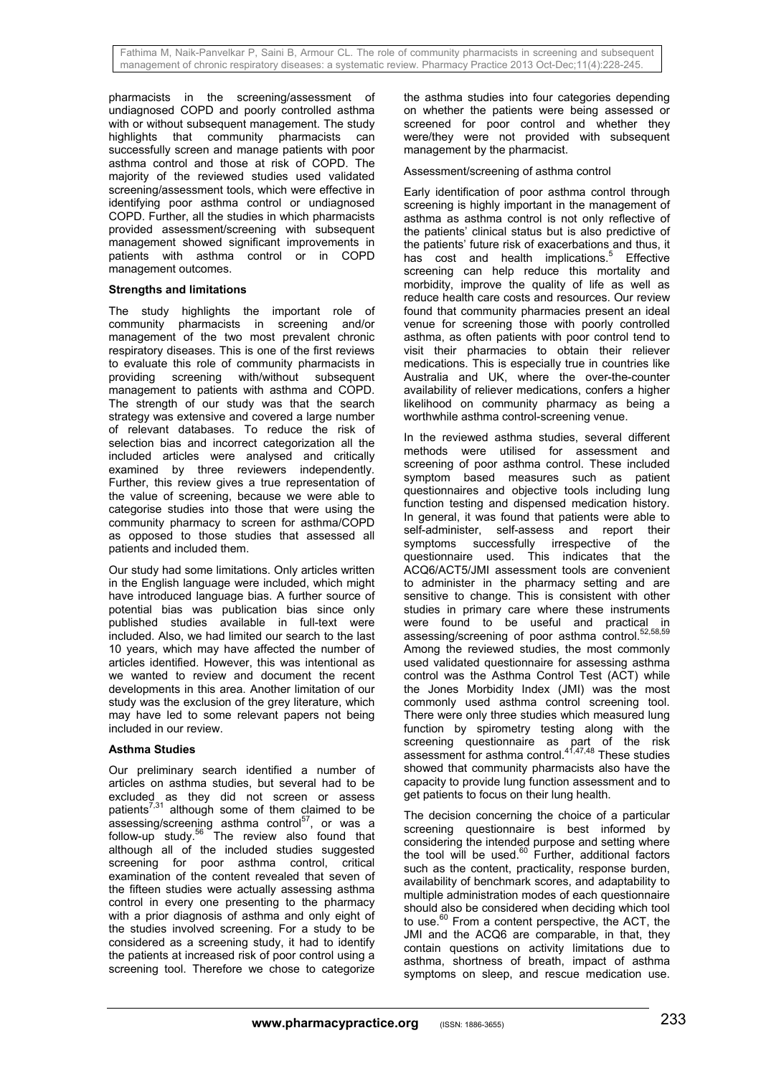pharmacists in the screening/assessment of undiagnosed COPD and poorly controlled asthma with or without subsequent management. The study highlights that community pharmacists can successfully screen and manage patients with poor asthma control and those at risk of COPD. The majority of the reviewed studies used validated screening/assessment tools, which were effective in identifying poor asthma control or undiagnosed COPD. Further, all the studies in which pharmacists provided assessment/screening with subsequent management showed significant improvements in patients with asthma control or in COPD management outcomes.

## **Strengths and limitations**

The study highlights the important role of community pharmacists in screening and/or management of the two most prevalent chronic respiratory diseases. This is one of the first reviews to evaluate this role of community pharmacists in providing screening with/without subsequent management to patients with asthma and COPD. The strength of our study was that the search strategy was extensive and covered a large number of relevant databases. To reduce the risk of selection bias and incorrect categorization all the included articles were analysed and critically examined by three reviewers independently. Further, this review gives a true representation of the value of screening, because we were able to categorise studies into those that were using the community pharmacy to screen for asthma/COPD as opposed to those studies that assessed all patients and included them.

Our study had some limitations. Only articles written in the English language were included, which might have introduced language bias. A further source of potential bias was publication bias since only published studies available in full-text were included. Also, we had limited our search to the last 10 years, which may have affected the number of articles identified. However, this was intentional as we wanted to review and document the recent developments in this area. Another limitation of our study was the exclusion of the grey literature, which may have led to some relevant papers not being included in our review.

## **Asthma Studies**

Our preliminary search identified a number of articles on asthma studies, but several had to be excluded as they did not screen or assess patients<sup>7,31</sup> although some of them claimed to be assessing/screening asthma control<sup>57</sup>, or was a follow-up study.<sup>56</sup> The review also found that although all of the included studies suggested screening for poor asthma control, critical examination of the content revealed that seven of the fifteen studies were actually assessing asthma control in every one presenting to the pharmacy with a prior diagnosis of asthma and only eight of the studies involved screening. For a study to be considered as a screening study, it had to identify the patients at increased risk of poor control using a screening tool. Therefore we chose to categorize

the asthma studies into four categories depending on whether the patients were being assessed or screened for poor control and whether they were/they were not provided with subsequent management by the pharmacist.

## Assessment/screening of asthma control

Early identification of poor asthma control through screening is highly important in the management of asthma as asthma control is not only reflective of the patients' clinical status but is also predictive of the patients' future risk of exacerbations and thus, it has cost and health implications.<sup>5</sup> Effective screening can help reduce this mortality and morbidity, improve the quality of life as well as reduce health care costs and resources. Our review found that community pharmacies present an ideal venue for screening those with poorly controlled asthma, as often patients with poor control tend to visit their pharmacies to obtain their reliever medications. This is especially true in countries like Australia and UK, where the over-the-counter availability of reliever medications, confers a higher likelihood on community pharmacy as being a worthwhile asthma control-screening venue.

In the reviewed asthma studies, several different methods were utilised for assessment and screening of poor asthma control. These included symptom based measures such as patient questionnaires and objective tools including lung function testing and dispensed medication history. In general, it was found that patients were able to self-administer, self-assess and report their symptoms successfully irrespective of the questionnaire used. This indicates that the ACQ6/ACT5/JMI assessment tools are convenient to administer in the pharmacy setting and are sensitive to change. This is consistent with other studies in primary care where these instruments were found to be useful and practical in assessing/screening of poor asthma control.<sup>52,58,59</sup> Among the reviewed studies, the most commonly used validated questionnaire for assessing asthma control was the Asthma Control Test (ACT) while the Jones Morbidity Index (JMI) was the most commonly used asthma control screening tool. There were only three studies which measured lung function by spirometry testing along with the screening questionnaire as part of the risk assessment for asthma control.<sup>41,47,48</sup> These studies showed that community pharmacists also have the capacity to provide lung function assessment and to get patients to focus on their lung health.

The decision concerning the choice of a particular screening questionnaire is best informed by considering the intended purpose and setting where the tool will be used.<sup>60</sup> Further, additional factors such as the content, practicality, response burden, availability of benchmark scores, and adaptability to multiple administration modes of each questionnaire should also be considered when deciding which tool to use.<sup>60</sup> From a content perspective, the ACT, the JMI and the ACQ6 are comparable, in that, they contain questions on activity limitations due to asthma, shortness of breath, impact of asthma symptoms on sleep, and rescue medication use.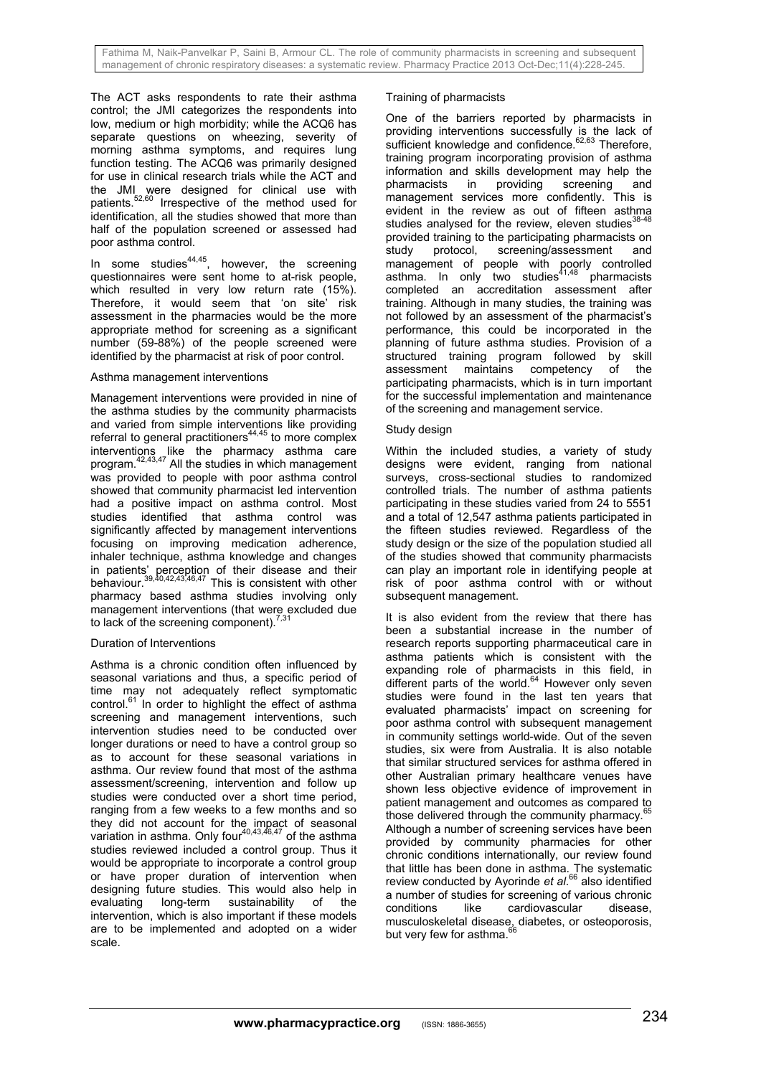The ACT asks respondents to rate their asthma control; the JMI categorizes the respondents into low, medium or high morbidity; while the ACQ6 has separate questions on wheezing, severity of morning asthma symptoms, and requires lung function testing. The ACQ6 was primarily designed for use in clinical research trials while the ACT and the JMI were designed for clinical use with patients.52,60 Irrespective of the method used for identification, all the studies showed that more than half of the population screened or assessed had poor asthma control.

In some studies $44,45$ , however, the screening questionnaires were sent home to at-risk people, which resulted in very low return rate (15%). Therefore, it would seem that 'on site' risk assessment in the pharmacies would be the more appropriate method for screening as a significant number (59-88%) of the people screened were identified by the pharmacist at risk of poor control.

## Asthma management interventions

Management interventions were provided in nine of the asthma studies by the community pharmacists and varied from simple interventions like providing referral to general practitioners44,45 to more complex interventions like the pharmacy asthma care program.<sup>42,43,47</sup> All the studies in which management was provided to people with poor asthma control showed that community pharmacist led intervention had a positive impact on asthma control. Most studies identified that asthma control was significantly affected by management interventions focusing on improving medication adherence, inhaler technique, asthma knowledge and changes in patients' perception of their disease and their behaviour.39,40,42,43,46,47 This is consistent with other pharmacy based asthma studies involving only management interventions (that were excluded due to lack of the screening component).<sup>7,31</sup>

## Duration of Interventions

Asthma is a chronic condition often influenced by seasonal variations and thus, a specific period of time may not adequately reflect symptomatic control. $61$  In order to highlight the effect of asthma screening and management interventions, such intervention studies need to be conducted over longer durations or need to have a control group so as to account for these seasonal variations in asthma. Our review found that most of the asthma assessment/screening, intervention and follow up studies were conducted over a short time period, ranging from a few weeks to a few months and so they did not account for the impact of seasonal variation in asthma. Only four $40,43,46,47$  of the asthma studies reviewed included a control group. Thus it would be appropriate to incorporate a control group or have proper duration of intervention when designing future studies. This would also help in evaluating long-term sustainability of the intervention, which is also important if these models are to be implemented and adopted on a wider scale.

## Training of pharmacists

One of the barriers reported by pharmacists in providing interventions successfully is the lack of sufficient knowledge and confidence.<sup>62,63</sup> Therefore, training program incorporating provision of asthma information and skills development may help the pharmacists in providing screening and management services more confidently. This is evident in the review as out of fifteen asthma studies analysed for the review, eleven studies $38-48$ provided training to the participating pharmacists on study protocol, screening/assessment and management of people with poorly controlled asthma. In only two studies $41,48$  pharmacists completed an accreditation assessment after training. Although in many studies, the training was not followed by an assessment of the pharmacist's performance, this could be incorporated in the planning of future asthma studies. Provision of a structured training program followed by skill assessment maintains competency of the participating pharmacists, which is in turn important for the successful implementation and maintenance of the screening and management service.

## Study design

Within the included studies, a variety of study designs were evident, ranging from national surveys, cross-sectional studies to randomized controlled trials. The number of asthma patients participating in these studies varied from 24 to 5551 and a total of 12,547 asthma patients participated in the fifteen studies reviewed. Regardless of the study design or the size of the population studied all of the studies showed that community pharmacists can play an important role in identifying people at risk of poor asthma control with or without subsequent management.

It is also evident from the review that there has been a substantial increase in the number of research reports supporting pharmaceutical care in asthma patients which is consistent with the expanding role of pharmacists in this field, in different parts of the world.<sup>64</sup> However only seven studies were found in the last ten vears that evaluated pharmacists' impact on screening for poor asthma control with subsequent management in community settings world-wide. Out of the seven studies, six were from Australia. It is also notable that similar structured services for asthma offered in other Australian primary healthcare venues have shown less objective evidence of improvement in patient management and outcomes as compared to those delivered through the community pharmacy. Although a number of screening services have been provided by community pharmacies for other chronic conditions internationally, our review found that little has been done in asthma. The systematic review conducted by Ayorinde *et al*. 66 also identified a number of studies for screening of various chronic conditions like cardiovascular disease, musculoskeletal disease, diabetes, or osteoporosis, but very few for asthma.<sup>66</sup>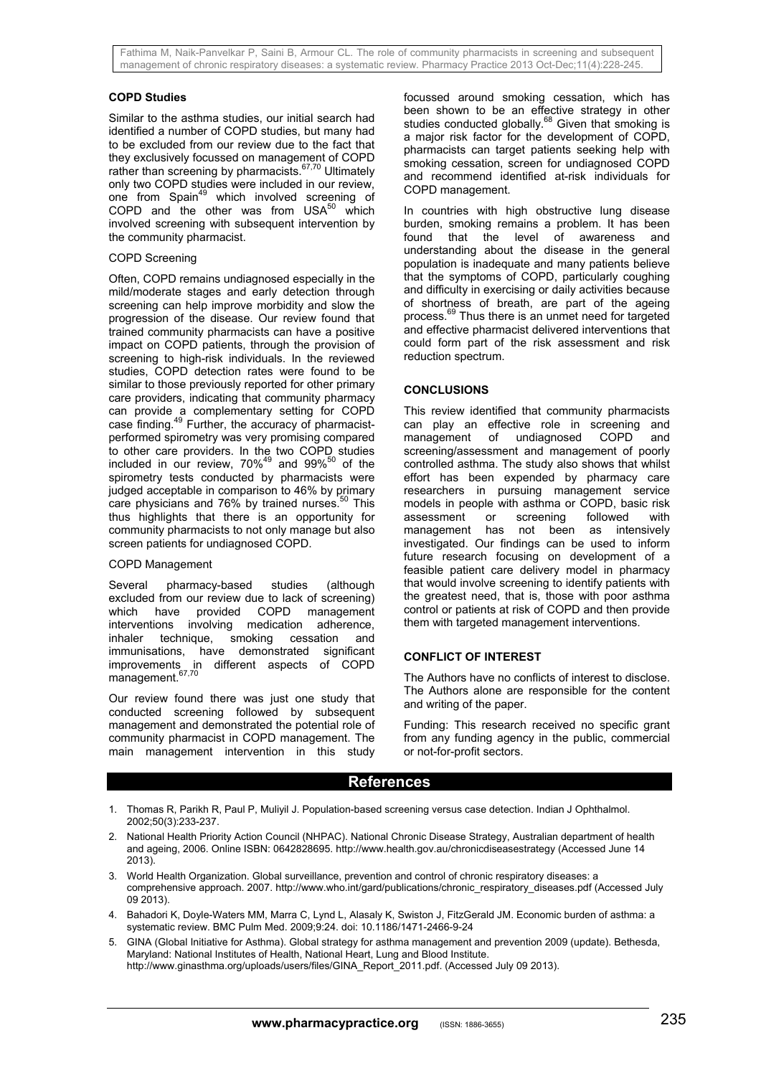## **COPD Studies**

Similar to the asthma studies, our initial search had identified a number of COPD studies, but many had to be excluded from our review due to the fact that they exclusively focussed on management of COPD rather than screening by pharmacists.<sup>67,70</sup> Ultimately only two COPD studies were included in our review, one from Spain<sup>49</sup> which involved screening of COPD and the other was from  $USA^{50}$  which involved screening with subsequent intervention by the community pharmacist.

#### COPD Screening

Often, COPD remains undiagnosed especially in the mild/moderate stages and early detection through screening can help improve morbidity and slow the progression of the disease. Our review found that trained community pharmacists can have a positive impact on COPD patients, through the provision of screening to high-risk individuals. In the reviewed studies, COPD detection rates were found to be similar to those previously reported for other primary care providers, indicating that community pharmacy can provide a complementary setting for COPD case finding.<sup>49</sup> Further, the accuracy of pharmacistperformed spirometry was very promising compared to other care providers. In the two COPD studies included in our review,  $70\%^{49}$  and  $99\%^{50}$  of the spirometry tests conducted by pharmacists were judged acceptable in comparison to 46% by primary care physicians and 76% by trained nurses.<sup>50</sup> This thus highlights that there is an opportunity for community pharmacists to not only manage but also screen patients for undiagnosed COPD.

## COPD Management

Several pharmacy-based studies (although excluded from our review due to lack of screening)<br>which have provided COPD management which have provided COPD management interventions involving medication adherence, inhaler technique, smoking cessation and immunisations, have demonstrated significant improvements in different aspects of COPD management.<sup>67,70</sup>

Our review found there was just one study that conducted screening followed by subsequent management and demonstrated the potential role of community pharmacist in COPD management. The main management intervention in this study

focussed around smoking cessation, which has been shown to be an effective strategy in other studies conducted globally. $68$  Given that smoking is a major risk factor for the development of COPD, pharmacists can target patients seeking help with smoking cessation, screen for undiagnosed COPD and recommend identified at-risk individuals for COPD management.

In countries with high obstructive lung disease burden, smoking remains a problem. It has been found that the level of awareness and understanding about the disease in the general population is inadequate and many patients believe that the symptoms of COPD, particularly coughing and difficulty in exercising or daily activities because of shortness of breath, are part of the ageing process.<sup>69</sup> Thus there is an unmet need for targeted Thus there is an unmet need for targeted and effective pharmacist delivered interventions that could form part of the risk assessment and risk reduction spectrum.

#### **CONCLUSIONS**

This review identified that community pharmacists can play an effective role in screening and management of undiagnosed COPD and screening/assessment and management of poorly controlled asthma. The study also shows that whilst effort has been expended by pharmacy care researchers in pursuing management service models in people with asthma or COPD, basic risk assessment or screening followed with management has not been as intensively investigated. Our findings can be used to inform future research focusing on development of a feasible patient care delivery model in pharmacy that would involve screening to identify patients with the greatest need, that is, those with poor asthma control or patients at risk of COPD and then provide them with targeted management interventions.

## **CONFLICT OF INTEREST**

The Authors have no conflicts of interest to disclose. The Authors alone are responsible for the content and writing of the paper.

Funding: This research received no specific grant from any funding agency in the public, commercial or not-for-profit sectors.

## **References**

- 1. Thomas R, Parikh R, Paul P, Muliyil J. Population-based screening versus case detection. Indian J Ophthalmol. 2002;50(3):233-237.
- 2. National Health Priority Action Council (NHPAC). National Chronic Disease Strategy, Australian department of health and ageing, 2006. Online ISBN: 0642828695. http://www.health.gov.au/chronicdiseasestrategy (Accessed June 14 2013).
- 3. World Health Organization. Global surveillance, prevention and control of chronic respiratory diseases: a comprehensive approach. 2007. http://www.who.int/gard/publications/chronic\_respiratory\_diseases.pdf (Accessed July 09 2013).
- 4. Bahadori K, Doyle-Waters MM, Marra C, Lynd L, Alasaly K, Swiston J, FitzGerald JM. Economic burden of asthma: a systematic review. BMC Pulm Med. 2009;9:24. doi: 10.1186/1471-2466-9-24
- 5. GINA (Global Initiative for Asthma). Global strategy for asthma management and prevention 2009 (update). Bethesda, Maryland: National Institutes of Health, National Heart, Lung and Blood Institute. http://www.ginasthma.org/uploads/users/files/GINA\_Report\_2011.pdf. (Accessed July 09 2013).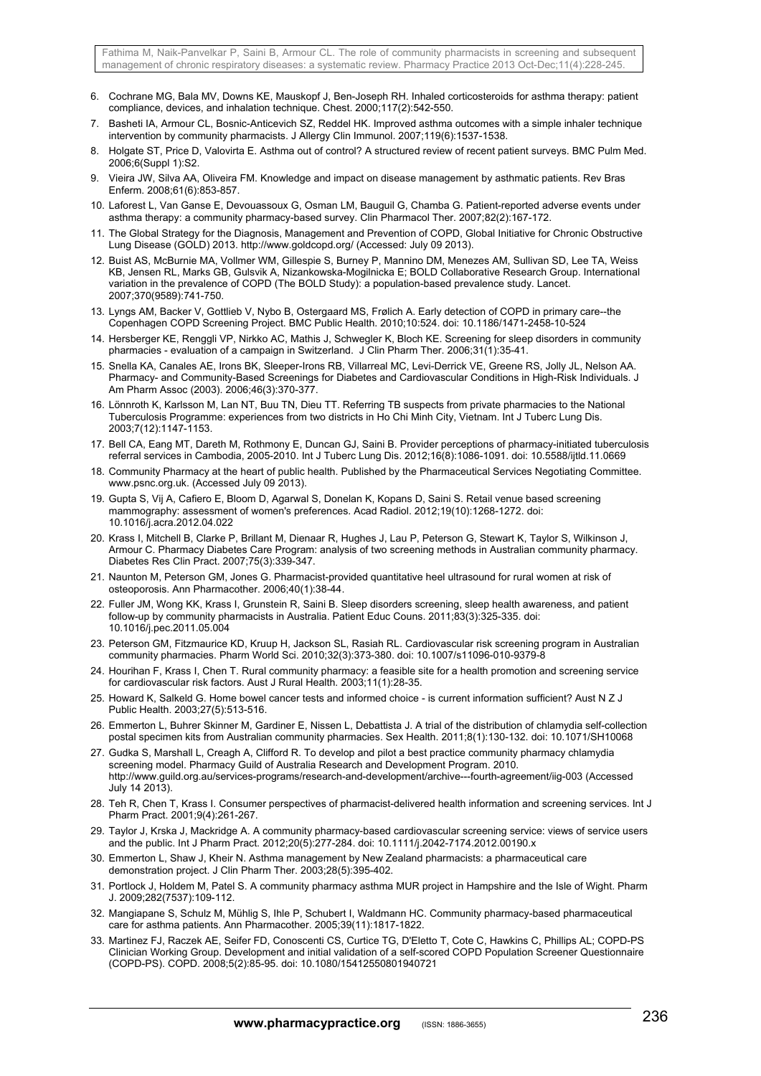- 6. Cochrane MG, Bala MV, Downs KE, Mauskopf J, Ben-Joseph RH. Inhaled corticosteroids for asthma therapy: patient compliance, devices, and inhalation technique. Chest. 2000;117(2):542-550.
- 7. Basheti IA, Armour CL, Bosnic-Anticevich SZ, Reddel HK. Improved asthma outcomes with a simple inhaler technique intervention by community pharmacists. J Allergy Clin Immunol. 2007;119(6):1537-1538.
- 8. Holgate ST, Price D, Valovirta E. Asthma out of control? A structured review of recent patient surveys. BMC Pulm Med. 2006;6(Suppl 1):S2.
- 9. Vieira JW, Silva AA, Oliveira FM. Knowledge and impact on disease management by asthmatic patients. Rev Bras Enferm. 2008;61(6):853-857.
- 10. Laforest L, Van Ganse E, Devouassoux G, Osman LM, Bauguil G, Chamba G. Patient-reported adverse events under asthma therapy: a community pharmacy-based survey. Clin Pharmacol Ther. 2007;82(2):167-172.
- 11. The Global Strategy for the Diagnosis, Management and Prevention of COPD, Global Initiative for Chronic Obstructive Lung Disease (GOLD) 2013. http://www.goldcopd.org/ (Accessed: July 09 2013).
- 12. Buist AS, McBurnie MA, Vollmer WM, Gillespie S, Burney P, Mannino DM, Menezes AM, Sullivan SD, Lee TA, Weiss KB, Jensen RL, Marks GB, Gulsvik A, Nizankowska-Mogilnicka E; BOLD Collaborative Research Group. International variation in the prevalence of COPD (The BOLD Study): a population-based prevalence study. Lancet. 2007;370(9589):741-750.
- 13. Lyngs AM, Backer V, Gottlieb V, Nybo B, Ostergaard MS, Frølich A. Early detection of COPD in primary care--the Copenhagen COPD Screening Project. BMC Public Health. 2010;10:524. doi: 10.1186/1471-2458-10-524
- 14. Hersberger KE, Renggli VP, Nirkko AC, Mathis J, Schwegler K, Bloch KE. Screening for sleep disorders in community pharmacies - evaluation of a campaign in Switzerland. J Clin Pharm Ther. 2006;31(1):35-41.
- 15. Snella KA, Canales AE, Irons BK, Sleeper-Irons RB, Villarreal MC, Levi-Derrick VE, Greene RS, Jolly JL, Nelson AA. Pharmacy- and Community-Based Screenings for Diabetes and Cardiovascular Conditions in High-Risk Individuals. J Am Pharm Assoc (2003). 2006;46(3):370-377.
- 16. Lönnroth K, Karlsson M, Lan NT, Buu TN, Dieu TT. Referring TB suspects from private pharmacies to the National Tuberculosis Programme: experiences from two districts in Ho Chi Minh City, Vietnam. Int J Tuberc Lung Dis. 2003;7(12):1147-1153.
- 17. Bell CA, Eang MT, Dareth M, Rothmony E, Duncan GJ, Saini B. Provider perceptions of pharmacy-initiated tuberculosis referral services in Cambodia, 2005-2010. Int J Tuberc Lung Dis. 2012;16(8):1086-1091. doi: 10.5588/ijtld.11.0669
- 18. Community Pharmacy at the heart of public health. Published by the Pharmaceutical Services Negotiating Committee. www.psnc.org.uk. (Accessed July 09 2013).
- 19. Gupta S, Vij A, Cafiero E, Bloom D, Agarwal S, Donelan K, Kopans D, Saini S. Retail venue based screening mammography: assessment of women's preferences. Acad Radiol. 2012;19(10):1268-1272. doi: 10.1016/j.acra.2012.04.022
- 20. Krass I, Mitchell B, Clarke P, Brillant M, Dienaar R, Hughes J, Lau P, Peterson G, Stewart K, Taylor S, Wilkinson J, Armour C. Pharmacy Diabetes Care Program: analysis of two screening methods in Australian community pharmacy. Diabetes Res Clin Pract. 2007;75(3):339-347.
- 21. Naunton M, Peterson GM, Jones G. Pharmacist-provided quantitative heel ultrasound for rural women at risk of osteoporosis. Ann Pharmacother. 2006;40(1):38-44.
- 22. Fuller JM, Wong KK, Krass I, Grunstein R, Saini B. Sleep disorders screening, sleep health awareness, and patient follow-up by community pharmacists in Australia. Patient Educ Couns. 2011;83(3):325-335. doi: 10.1016/j.pec.2011.05.004
- 23. Peterson GM, Fitzmaurice KD, Kruup H, Jackson SL, Rasiah RL. Cardiovascular risk screening program in Australian community pharmacies. Pharm World Sci. 2010;32(3):373-380. doi: 10.1007/s11096-010-9379-8
- 24. Hourihan F, Krass I, Chen T. Rural community pharmacy: a feasible site for a health promotion and screening service for cardiovascular risk factors. Aust J Rural Health. 2003;11(1):28-35.
- 25. Howard K, Salkeld G. Home bowel cancer tests and informed choice is current information sufficient? Aust N Z J Public Health. 2003;27(5):513-516.
- 26. Emmerton L, Buhrer Skinner M, Gardiner E, Nissen L, Debattista J. A trial of the distribution of chlamydia self-collection postal specimen kits from Australian community pharmacies. Sex Health. 2011;8(1):130-132. doi: 10.1071/SH10068
- 27. Gudka S, Marshall L, Creagh A, Clifford R. To develop and pilot a best practice community pharmacy chlamydia screening model. Pharmacy Guild of Australia Research and Development Program. 2010. http://www.guild.org.au/services-programs/research-and-development/archive---fourth-agreement/iig-003 (Accessed July 14 2013).
- 28. Teh R, Chen T, Krass I. Consumer perspectives of pharmacist-delivered health information and screening services. Int J Pharm Pract. 2001;9(4):261-267.
- 29. Taylor J, Krska J, Mackridge A. A community pharmacy-based cardiovascular screening service: views of service users and the public. Int J Pharm Pract. 2012;20(5):277-284. doi: 10.1111/j.2042-7174.2012.00190.x
- 30. Emmerton L, Shaw J, Kheir N. Asthma management by New Zealand pharmacists: a pharmaceutical care demonstration project. J Clin Pharm Ther. 2003;28(5):395-402.
- 31. Portlock J, Holdem M, Patel S. A community pharmacy asthma MUR project in Hampshire and the Isle of Wight. Pharm J. 2009;282(7537):109-112.
- 32. Mangiapane S, Schulz M, Mühlig S, Ihle P, Schubert I, Waldmann HC. Community pharmacy-based pharmaceutical care for asthma patients. Ann Pharmacother. 2005;39(11):1817-1822.
- 33. Martinez FJ, Raczek AE, Seifer FD, Conoscenti CS, Curtice TG, D'Eletto T, Cote C, Hawkins C, Phillips AL; COPD-PS Clinician Working Group. Development and initial validation of a self-scored COPD Population Screener Questionnaire (COPD-PS). COPD. 2008;5(2):85-95. doi: 10.1080/15412550801940721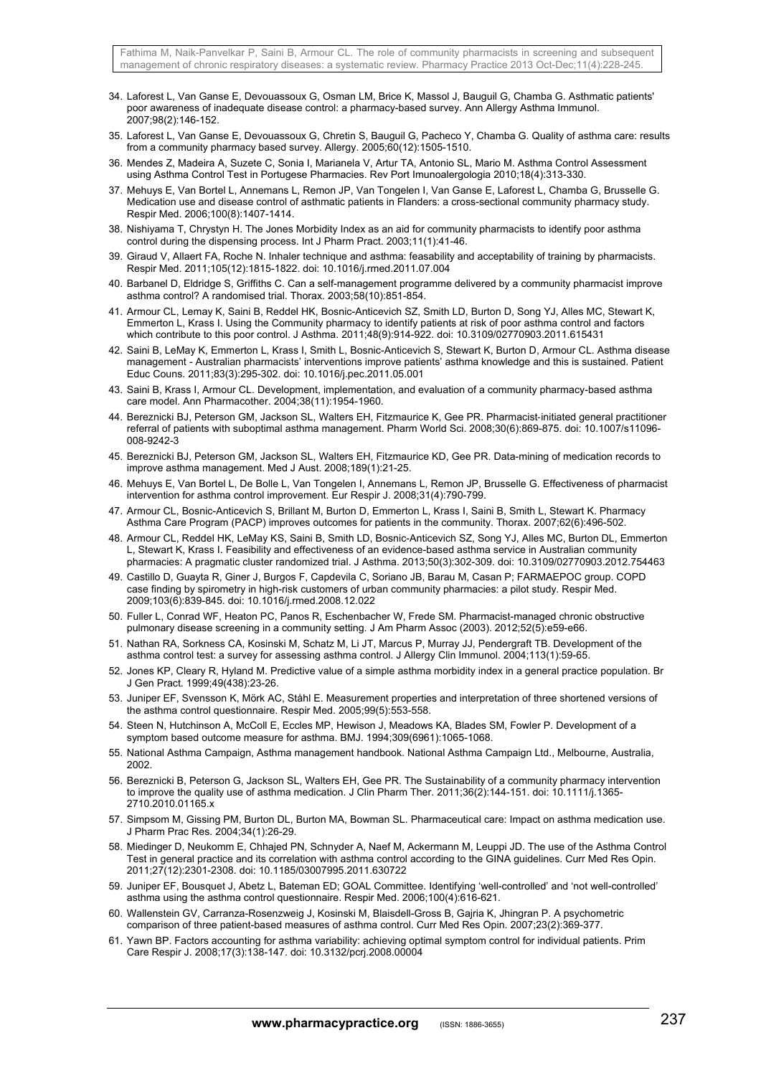- 34. Laforest L, Van Ganse E, Devouassoux G, Osman LM, Brice K, Massol J, Bauguil G, Chamba G. Asthmatic patients' poor awareness of inadequate disease control: a pharmacy-based survey. Ann Allergy Asthma Immunol. 2007;98(2):146-152.
- 35. Laforest L, Van Ganse E, Devouassoux G, Chretin S, Bauguil G, Pacheco Y, Chamba G. Quality of asthma care: results from a community pharmacy based survey. Allergy. 2005;60(12):1505-1510.
- 36. Mendes Z, Madeira A, Suzete C, Sonia I, Marianela V, Artur TA, Antonio SL, Mario M. Asthma Control Assessment using Asthma Control Test in Portugese Pharmacies. Rev Port Imunoalergologia 2010;18(4):313-330.
- 37. Mehuys E, Van Bortel L, Annemans L, Remon JP, Van Tongelen I, Van Ganse E, Laforest L, Chamba G, Brusselle G. Medication use and disease control of asthmatic patients in Flanders: a cross-sectional community pharmacy study. Respir Med. 2006;100(8):1407-1414.
- 38. Nishiyama T, Chrystyn H. The Jones Morbidity Index as an aid for community pharmacists to identify poor asthma control during the dispensing process. Int J Pharm Pract. 2003;11(1):41-46.
- 39. Giraud V, Allaert FA, Roche N. Inhaler technique and asthma: feasability and acceptability of training by pharmacists. Respir Med. 2011;105(12):1815-1822. doi: 10.1016/j.rmed.2011.07.004
- 40. Barbanel D, Eldridge S, Griffiths C. Can a self-management programme delivered by a community pharmacist improve asthma control? A randomised trial. Thorax. 2003;58(10):851-854.
- 41. Armour CL, Lemay K, Saini B, Reddel HK, Bosnic-Anticevich SZ, Smith LD, Burton D, Song YJ, Alles MC, Stewart K, Emmerton L, Krass I. Using the Community pharmacy to identify patients at risk of poor asthma control and factors which contribute to this poor control. J Asthma. 2011;48(9):914-922. doi: 10.3109/02770903.2011.615431
- 42. Saini B, LeMay K, Emmerton L, Krass I, Smith L, Bosnic-Anticevich S, Stewart K, Burton D, Armour CL. Asthma disease management - Australian pharmacists' interventions improve patients' asthma knowledge and this is sustained. Patient Educ Couns. 2011;83(3):295-302. doi: 10.1016/j.pec.2011.05.001
- 43. Saini B, Krass I, Armour CL. Development, implementation, and evaluation of a community pharmacy-based asthma care model. Ann Pharmacother. 2004;38(11):1954-1960.
- 44. Bereznicki BJ, Peterson GM, Jackson SL, Walters EH, Fitzmaurice K, Gee PR. Pharmacist‐initiated general practitioner referral of patients with suboptimal asthma management. Pharm World Sci. 2008;30(6):869-875. doi: 10.1007/s11096- 008-9242-3
- 45. Bereznicki BJ, Peterson GM, Jackson SL, Walters EH, Fitzmaurice KD, Gee PR. Data-mining of medication records to improve asthma management. Med J Aust. 2008;189(1):21-25.
- 46. Mehuys E, Van Bortel L, De Bolle L, Van Tongelen I, Annemans L, Remon JP, Brusselle G. Effectiveness of pharmacist intervention for asthma control improvement. Eur Respir J. 2008;31(4):790-799.
- 47. Armour CL, Bosnic-Anticevich S, Brillant M, Burton D, Emmerton L, Krass I, Saini B, Smith L, Stewart K. Pharmacy Asthma Care Program (PACP) improves outcomes for patients in the community. Thorax. 2007;62(6):496-502.
- 48. Armour CL, Reddel HK, LeMay KS, Saini B, Smith LD, Bosnic-Anticevich SZ, Song YJ, Alles MC, Burton DL, Emmerton L, Stewart K, Krass I. Feasibility and effectiveness of an evidence-based asthma service in Australian community pharmacies: A pragmatic cluster randomized trial. J Asthma. 2013;50(3):302-309. doi: 10.3109/02770903.2012.754463
- 49. Castillo D, Guayta R, Giner J, Burgos F, Capdevila C, Soriano JB, Barau M, Casan P; FARMAEPOC group. COPD case finding by spirometry in high-risk customers of urban community pharmacies: a pilot study. Respir Med. 2009;103(6):839-845. doi: 10.1016/j.rmed.2008.12.022
- 50. Fuller L, Conrad WF, Heaton PC, Panos R, Eschenbacher W, Frede SM. Pharmacist-managed chronic obstructive pulmonary disease screening in a community setting. J Am Pharm Assoc (2003). 2012;52(5):e59-e66.
- 51. Nathan RA, Sorkness CA, Kosinski M, Schatz M, Li JT, Marcus P, Murray JJ, Pendergraft TB. Development of the asthma control test: a survey for assessing asthma control. J Allergy Clin Immunol. 2004;113(1):59-65.
- 52. Jones KP, Cleary R, Hyland M. Predictive value of a simple asthma morbidity index in a general practice population. Br J Gen Pract. 1999;49(438):23-26.
- 53. Juniper EF, Svensson K, Mörk AC, Ståhl E. Measurement properties and interpretation of three shortened versions of the asthma control questionnaire. Respir Med. 2005;99(5):553-558.
- 54. Steen N, Hutchinson A, McColl E, Eccles MP, Hewison J, Meadows KA, Blades SM, Fowler P. Development of a symptom based outcome measure for asthma. BMJ. 1994;309(6961):1065-1068.
- 55. National Asthma Campaign, Asthma management handbook. National Asthma Campaign Ltd., Melbourne, Australia, 2002.
- 56. Bereznicki B, Peterson G, Jackson SL, Walters EH, Gee PR. The Sustainability of a community pharmacy intervention to improve the quality use of asthma medication. J Clin Pharm Ther. 2011;36(2):144-151. doi: 10.1111/j.1365- 2710.2010.01165.x
- 57. Simpsom M, Gissing PM, Burton DL, Burton MA, Bowman SL. Pharmaceutical care: Impact on asthma medication use. J Pharm Prac Res. 2004;34(1):26-29.
- 58. Miedinger D, Neukomm E, Chhajed PN, Schnyder A, Naef M, Ackermann M, Leuppi JD. The use of the Asthma Control Test in general practice and its correlation with asthma control according to the GINA guidelines. Curr Med Res Opin. 2011;27(12):2301-2308. doi: 10.1185/03007995.2011.630722
- 59. Juniper EF, Bousquet J, Abetz L, Bateman ED; GOAL Committee. Identifying 'well-controlled' and 'not well-controlled' asthma using the asthma control questionnaire. Respir Med. 2006;100(4):616-621.
- 60. Wallenstein GV, Carranza-Rosenzweig J, Kosinski M, Blaisdell-Gross B, Gajria K, Jhingran P. A psychometric comparison of three patient-based measures of asthma control. Curr Med Res Opin. 2007;23(2):369-377.
- 61. Yawn BP. Factors accounting for asthma variability: achieving optimal symptom control for individual patients. Prim Care Respir J. 2008;17(3):138-147. doi: 10.3132/pcrj.2008.00004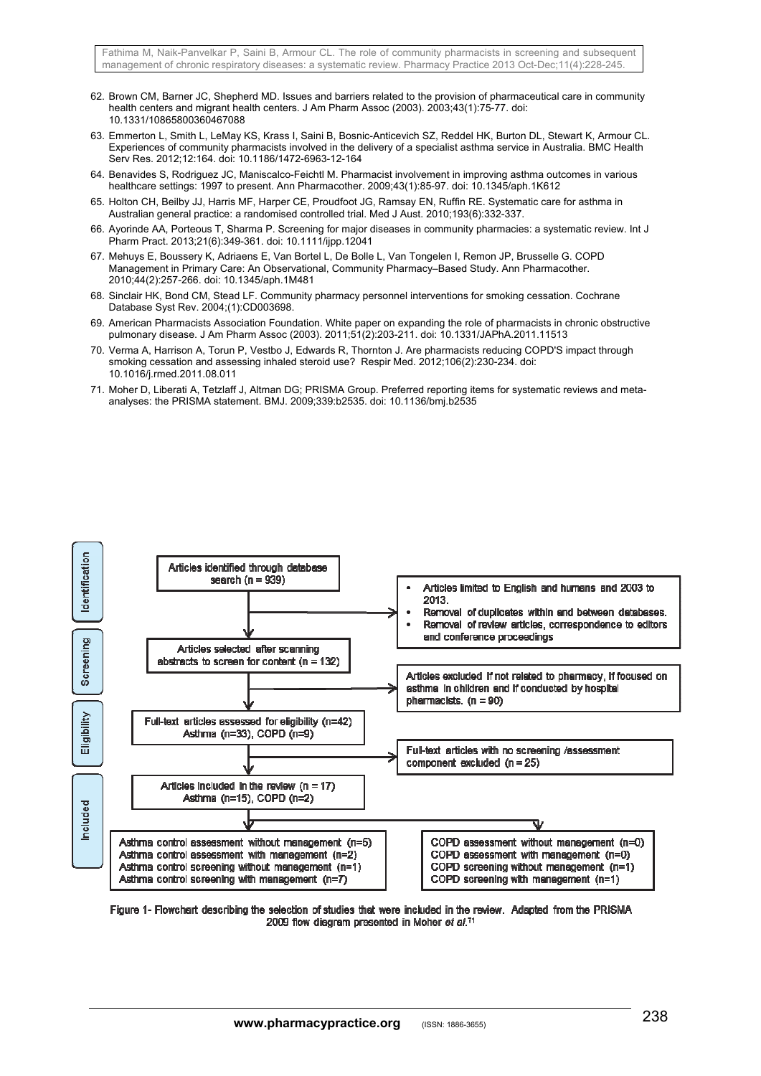- 62. Brown CM, Barner JC, Shepherd MD. Issues and barriers related to the provision of pharmaceutical care in community health centers and migrant health centers. J Am Pharm Assoc (2003). 2003;43(1):75-77. doi: 10.1331/10865800360467088
- 63. Emmerton L, Smith L, LeMay KS, Krass I, Saini B, Bosnic-Anticevich SZ, Reddel HK, Burton DL, Stewart K, Armour CL. Experiences of community pharmacists involved in the delivery of a specialist asthma service in Australia. BMC Health Serv Res. 2012;12:164. doi: 10.1186/1472-6963-12-164
- 64. Benavides S, Rodriguez JC, Maniscalco-Feichtl M. Pharmacist involvement in improving asthma outcomes in various healthcare settings: 1997 to present. Ann Pharmacother. 2009;43(1):85-97. doi: 10.1345/aph.1K612
- 65. Holton CH, Beilby JJ, Harris MF, Harper CE, Proudfoot JG, Ramsay EN, Ruffin RE. Systematic care for asthma in Australian general practice: a randomised controlled trial. Med J Aust. 2010;193(6):332-337.
- 66. Ayorinde AA, Porteous T, Sharma P. Screening for major diseases in community pharmacies: a systematic review. Int J Pharm Pract. 2013;21(6):349-361. doi: 10.1111/ijpp.12041
- 67. Mehuys E, Boussery K, Adriaens E, Van Bortel L, De Bolle L, Van Tongelen I, Remon JP, Brusselle G. COPD Management in Primary Care: An Observational, Community Pharmacy–Based Study. Ann Pharmacother. 2010;44(2):257-266. doi: 10.1345/aph.1M481
- 68. Sinclair HK, Bond CM, Stead LF. Community pharmacy personnel interventions for smoking cessation. Cochrane Database Syst Rev. 2004;(1):CD003698.
- 69. American Pharmacists Association Foundation. White paper on expanding the role of pharmacists in chronic obstructive pulmonary disease. J Am Pharm Assoc (2003). 2011;51(2):203-211. doi: 10.1331/JAPhA.2011.11513
- 70. Verma A, Harrison A, Torun P, Vestbo J, Edwards R, Thornton J. Are pharmacists reducing COPD'S impact through smoking cessation and assessing inhaled steroid use? Respir Med. 2012;106(2):230-234. doi: 10.1016/j.rmed.2011.08.011
- 71. Moher D, Liberati A, Tetzlaff J, Altman DG; PRISMA Group. Preferred reporting items for systematic reviews and metaanalyses: the PRISMA statement. BMJ. 2009;339:b2535. doi: 10.1136/bmj.b2535



Figure 1- Flowchart describing the selection of studies that were included in the review. Adapted from the PRISMA 2009 flow diagram presented in Moher et al.71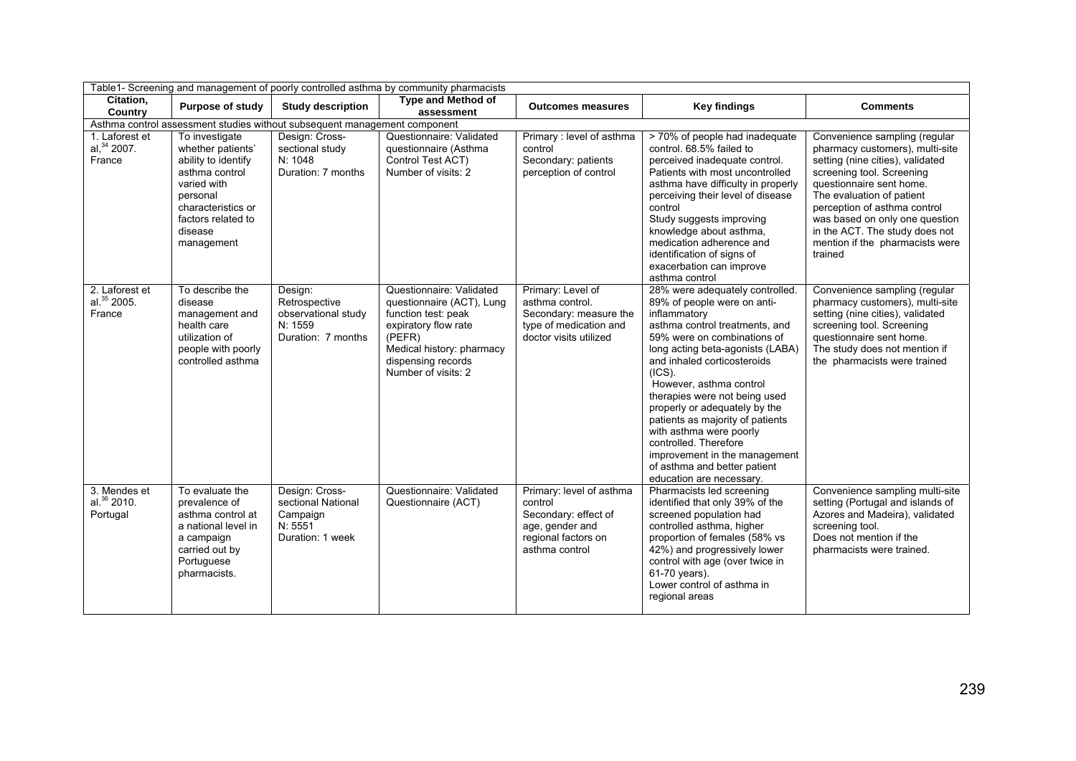|                                            | Table1- Screening and management of poorly controlled asthma by community pharmacists                                                                                        |                                                                                  |                                                                                                                                                                                          |                                                                                                                         |                                                                                                                                                                                                                                                                                                                                                                                                                                                                                                                   |                                                                                                                                                                                                                                                                                                                                              |  |  |  |  |
|--------------------------------------------|------------------------------------------------------------------------------------------------------------------------------------------------------------------------------|----------------------------------------------------------------------------------|------------------------------------------------------------------------------------------------------------------------------------------------------------------------------------------|-------------------------------------------------------------------------------------------------------------------------|-------------------------------------------------------------------------------------------------------------------------------------------------------------------------------------------------------------------------------------------------------------------------------------------------------------------------------------------------------------------------------------------------------------------------------------------------------------------------------------------------------------------|----------------------------------------------------------------------------------------------------------------------------------------------------------------------------------------------------------------------------------------------------------------------------------------------------------------------------------------------|--|--|--|--|
| Citation,<br>Country                       | <b>Purpose of study</b>                                                                                                                                                      | <b>Study description</b>                                                         | <b>Type and Method of</b><br>assessment                                                                                                                                                  | <b>Outcomes measures</b>                                                                                                | <b>Key findings</b>                                                                                                                                                                                                                                                                                                                                                                                                                                                                                               | <b>Comments</b>                                                                                                                                                                                                                                                                                                                              |  |  |  |  |
|                                            |                                                                                                                                                                              | Asthma control assessment studies without subsequent management component        |                                                                                                                                                                                          |                                                                                                                         |                                                                                                                                                                                                                                                                                                                                                                                                                                                                                                                   |                                                                                                                                                                                                                                                                                                                                              |  |  |  |  |
| 1. Laforest et<br>al, $34$ 2007.<br>France | To investigate<br>whether patients'<br>ability to identify<br>asthma control<br>varied with<br>personal<br>characteristics or<br>factors related to<br>disease<br>management | Design: Cross-<br>sectional study<br>N: 1048<br>Duration: 7 months               | Questionnaire: Validated<br>questionnaire (Asthma<br>Control Test ACT)<br>Number of visits: 2                                                                                            | Primary: level of asthma<br>control<br>Secondary: patients<br>perception of control                                     | > 70% of people had inadequate<br>control. 68.5% failed to<br>perceived inadequate control.<br>Patients with most uncontrolled<br>asthma have difficulty in properly<br>perceiving their level of disease<br>control<br>Study suggests improving<br>knowledge about asthma.<br>medication adherence and<br>identification of signs of<br>exacerbation can improve<br>asthma control                                                                                                                               | Convenience sampling (regular<br>pharmacy customers), multi-site<br>setting (nine cities), validated<br>screening tool. Screening<br>questionnaire sent home.<br>The evaluation of patient<br>perception of asthma control<br>was based on only one question<br>in the ACT. The study does not<br>mention if the pharmacists were<br>trained |  |  |  |  |
| 2. Laforest et<br>al. 35 2005.<br>France   | To describe the<br>disease<br>management and<br>health care<br>utilization of<br>people with poorly<br>controlled asthma                                                     | Design:<br>Retrospective<br>observational study<br>N: 1559<br>Duration: 7 months | Questionnaire: Validated<br>questionnaire (ACT), Lung<br>function test: peak<br>expiratory flow rate<br>(PEFR)<br>Medical history: pharmacy<br>dispensing records<br>Number of visits: 2 | Primary: Level of<br>asthma control.<br>Secondary: measure the<br>type of medication and<br>doctor visits utilized      | 28% were adequately controlled.<br>89% of people were on anti-<br>inflammatory<br>asthma control treatments, and<br>59% were on combinations of<br>long acting beta-agonists (LABA)<br>and inhaled corticosteroids<br>$(ICS)$ .<br>However, asthma control<br>therapies were not being used<br>properly or adequately by the<br>patients as majority of patients<br>with asthma were poorly<br>controlled. Therefore<br>improvement in the management<br>of asthma and better patient<br>education are necessary. | Convenience sampling (regular<br>pharmacy customers), multi-site<br>setting (nine cities), validated<br>screening tool. Screening<br>questionnaire sent home.<br>The study does not mention if<br>the pharmacists were trained                                                                                                               |  |  |  |  |
| 3. Mendes et<br>al. $36$ 2010.<br>Portugal | To evaluate the<br>prevalence of<br>asthma control at<br>a national level in<br>a campaign<br>carried out by<br>Portuguese<br>pharmacists.                                   | Design: Cross-<br>sectional National<br>Campaign<br>N: 5551<br>Duration: 1 week  | Questionnaire: Validated<br>Questionnaire (ACT)                                                                                                                                          | Primary: level of asthma<br>control<br>Secondary: effect of<br>age, gender and<br>regional factors on<br>asthma control | Pharmacists led screening<br>identified that only 39% of the<br>screened population had<br>controlled asthma, higher<br>proportion of females (58% vs<br>42%) and progressively lower<br>control with age (over twice in<br>61-70 years).<br>Lower control of asthma in<br>regional areas                                                                                                                                                                                                                         | Convenience sampling multi-site<br>setting (Portugal and islands of<br>Azores and Madeira), validated<br>screening tool.<br>Does not mention if the<br>pharmacists were trained.                                                                                                                                                             |  |  |  |  |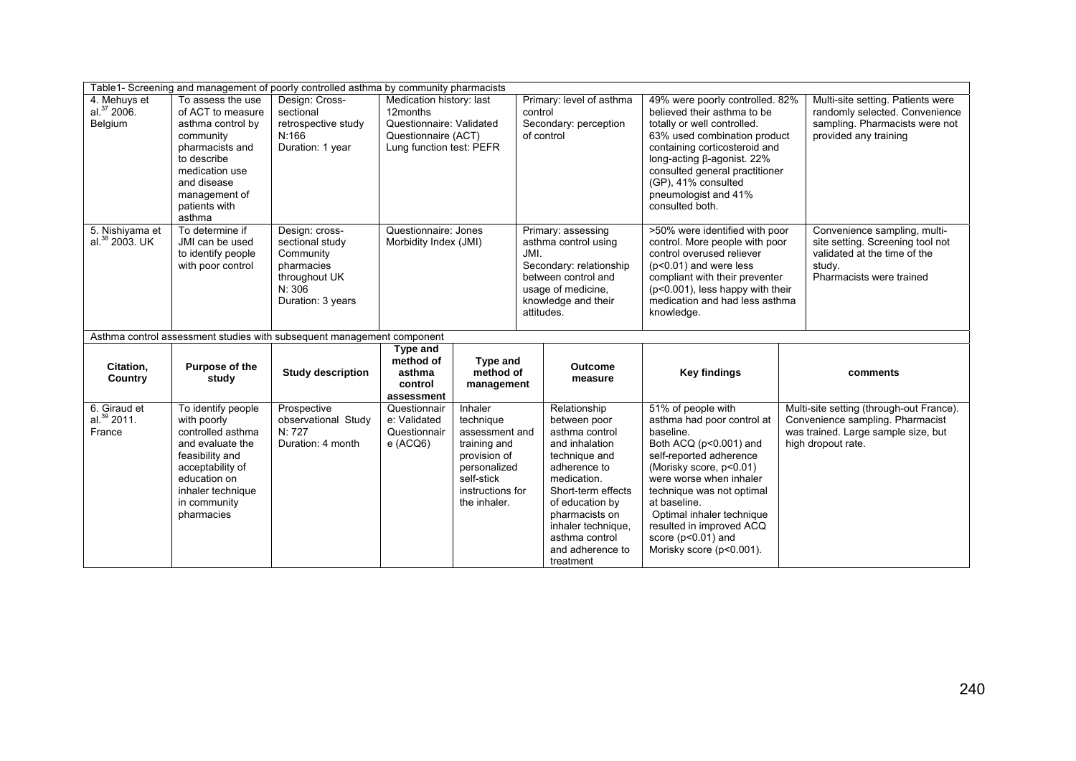|                                               |                                                                                                                                                                                         | Table1- Screening and management of poorly controlled asthma by community pharmacists                        |                                                                                                                     |                                                                                                    |                                                                                                  |                                                                                                                     |                                                                                                                                                                                                                                                                                                  |                                                                                                                                                                                                                                                      |                                                                                                                                                                                                                                                                                                                                      |  |                                                                                                                                           |
|-----------------------------------------------|-----------------------------------------------------------------------------------------------------------------------------------------------------------------------------------------|--------------------------------------------------------------------------------------------------------------|---------------------------------------------------------------------------------------------------------------------|----------------------------------------------------------------------------------------------------|--------------------------------------------------------------------------------------------------|---------------------------------------------------------------------------------------------------------------------|--------------------------------------------------------------------------------------------------------------------------------------------------------------------------------------------------------------------------------------------------------------------------------------------------|------------------------------------------------------------------------------------------------------------------------------------------------------------------------------------------------------------------------------------------------------|--------------------------------------------------------------------------------------------------------------------------------------------------------------------------------------------------------------------------------------------------------------------------------------------------------------------------------------|--|-------------------------------------------------------------------------------------------------------------------------------------------|
| 4. Mehuys et<br>al. $37$ 2006.<br>Belgium     | To assess the use<br>of ACT to measure<br>asthma control by<br>community<br>pharmacists and<br>to describe<br>medication use<br>and disease<br>management of<br>patients with<br>asthma | Design: Cross-<br>sectional<br>retrospective study<br>N:166<br>Duration: 1 year                              | Medication history: last<br>12months<br>Questionnaire: Validated<br>Questionnaire (ACT)<br>Lung function test: PEFR |                                                                                                    | Primary: level of asthma<br>control<br>Secondary: perception<br>of control<br>Primary: assessing |                                                                                                                     | 49% were poorly controlled. 82%<br>believed their asthma to be<br>totally or well controlled.<br>63% used combination product<br>containing corticosteroid and<br>long-acting β-agonist. 22%<br>consulted general practitioner<br>(GP), 41% consulted<br>pneumologist and 41%<br>consulted both. |                                                                                                                                                                                                                                                      | Multi-site setting. Patients were<br>randomly selected. Convenience<br>sampling. Pharmacists were not<br>provided any training                                                                                                                                                                                                       |  |                                                                                                                                           |
| 5. Nishiyama et<br>al. <sup>38</sup> 2003. UK | To determine if<br>JMI can be used<br>to identify people<br>with poor control                                                                                                           | Design: cross-<br>sectional study<br>Community<br>pharmacies<br>throughout UK<br>N: 306<br>Duration: 3 years | Questionnaire: Jones<br>Morbidity Index (JMI)                                                                       |                                                                                                    | JMI.<br>attitudes.                                                                               | asthma control using<br>Secondary: relationship<br>between control and<br>usage of medicine,<br>knowledge and their | >50% were identified with poor<br>control. More people with poor<br>control overused reliever<br>$(p<0.01)$ and were less<br>compliant with their preventer<br>(p<0.001), less happy with their<br>medication and had less asthma<br>knowledge.                                                  |                                                                                                                                                                                                                                                      | Convenience sampling, multi-<br>site setting. Screening tool not<br>validated at the time of the<br>study.<br>Pharmacists were trained                                                                                                                                                                                               |  |                                                                                                                                           |
|                                               |                                                                                                                                                                                         | Asthma control assessment studies with subsequent management component                                       |                                                                                                                     |                                                                                                    |                                                                                                  |                                                                                                                     |                                                                                                                                                                                                                                                                                                  |                                                                                                                                                                                                                                                      |                                                                                                                                                                                                                                                                                                                                      |  |                                                                                                                                           |
| Citation,<br>Country                          | Purpose of the<br>study                                                                                                                                                                 | <b>Study description</b>                                                                                     | Type and<br>method of<br>asthma<br>control<br>assessment                                                            | <b>Type and</b><br>method of<br>management                                                         |                                                                                                  | <b>Outcome</b><br>measure                                                                                           | <b>Key findings</b>                                                                                                                                                                                                                                                                              |                                                                                                                                                                                                                                                      | comments                                                                                                                                                                                                                                                                                                                             |  |                                                                                                                                           |
| 6. Giraud et<br>al. $^{39}$ 2011.<br>France   | To identify people<br>with poorly<br>controlled asthma<br>and evaluate the<br>feasibility and<br>acceptability of<br>education on<br>inhaler technique<br>in community<br>pharmacies    | Prospective<br>observational Study<br>N: 727<br>Duration: 4 month                                            | Questionnair<br>e: Validated<br>Questionnair<br>$e$ (ACQ6)                                                          | Inhaler<br>technique<br>training and<br>provision of<br>personalized<br>self-stick<br>the inhaler. |                                                                                                  | assessment and<br>instructions for                                                                                  |                                                                                                                                                                                                                                                                                                  | Relationship<br>between poor<br>asthma control<br>and inhalation<br>technique and<br>adherence to<br>medication.<br>Short-term effects<br>of education by<br>pharmacists on<br>inhaler technique.<br>asthma control<br>and adherence to<br>treatment | 51% of people with<br>asthma had poor control at<br>baseline.<br>Both ACQ (p<0.001) and<br>self-reported adherence<br>(Morisky score, p<0.01)<br>were worse when inhaler<br>technique was not optimal<br>at baseline.<br>Optimal inhaler technique<br>resulted in improved ACQ<br>score ( $p<0.01$ ) and<br>Morisky score (p<0.001). |  | Multi-site setting (through-out France).<br>Convenience sampling. Pharmacist<br>was trained. Large sample size, but<br>high dropout rate. |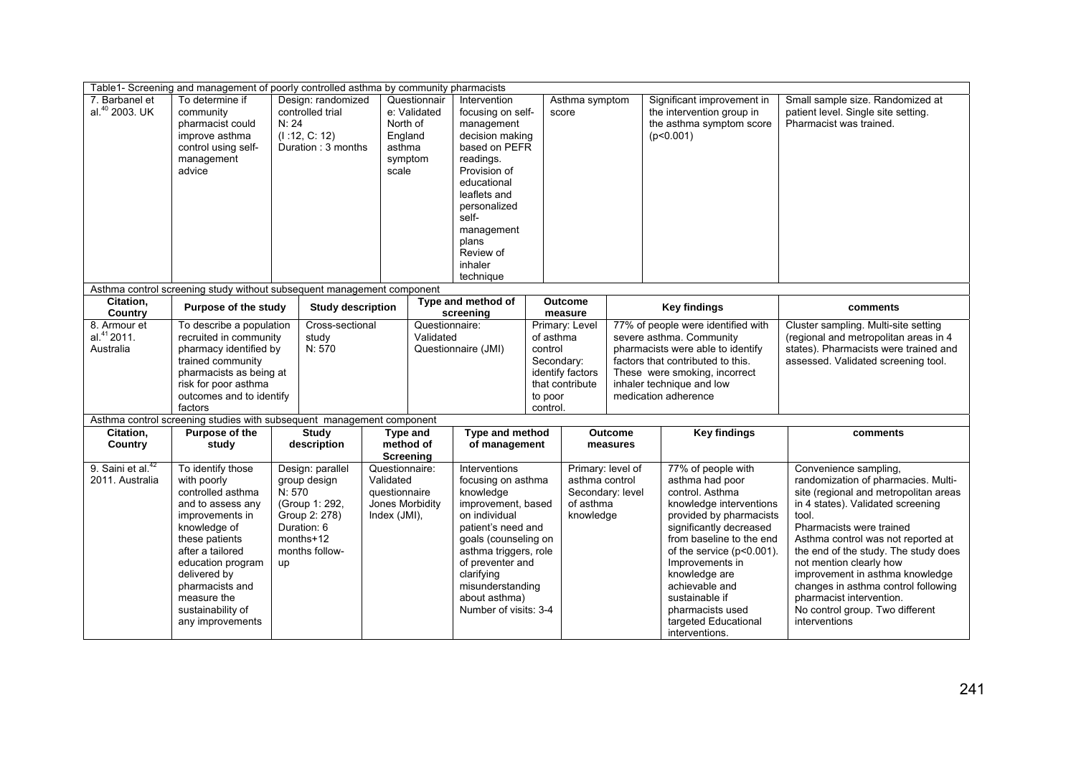|                                                      | Table1- Screening and management of poorly controlled asthma by community pharmacists                                                                                                                                                                               |                                                                                                                                   |                                          |                                                                                   |                                 |                                                                                                                                                                                                                                                                |                                                                     |                                                                                   |                                                                                                                                                                                                                                |                                                                                                                                                                                                                                                                                                                                          |                                                                                                                                                                                                                                                                                                                                                                                                                                                    |
|------------------------------------------------------|---------------------------------------------------------------------------------------------------------------------------------------------------------------------------------------------------------------------------------------------------------------------|-----------------------------------------------------------------------------------------------------------------------------------|------------------------------------------|-----------------------------------------------------------------------------------|---------------------------------|----------------------------------------------------------------------------------------------------------------------------------------------------------------------------------------------------------------------------------------------------------------|---------------------------------------------------------------------|-----------------------------------------------------------------------------------|--------------------------------------------------------------------------------------------------------------------------------------------------------------------------------------------------------------------------------|------------------------------------------------------------------------------------------------------------------------------------------------------------------------------------------------------------------------------------------------------------------------------------------------------------------------------------------|----------------------------------------------------------------------------------------------------------------------------------------------------------------------------------------------------------------------------------------------------------------------------------------------------------------------------------------------------------------------------------------------------------------------------------------------------|
| 7. Barbanel et<br>al. <sup>40</sup> 2003. UK         | To determine if<br>community<br>pharmacist could<br>improve asthma<br>control using self-<br>management<br>advice                                                                                                                                                   | controlled trial<br>N: 24<br>(1:12, C: 12)                                                                                        | Design: randomized<br>Duration: 3 months | Questionnair<br>e: Validated<br>North of<br>England<br>asthma<br>symptom<br>scale |                                 | Intervention<br>focusing on self-<br>management<br>decision making<br>based on PEFR<br>readings.<br>Provision of<br>educational<br>leaflets and<br>personalized<br>self-<br>management<br>plans<br>Review of<br>inhaler<br>technique                           |                                                                     | Asthma symptom<br>score                                                           |                                                                                                                                                                                                                                | Significant improvement in<br>the intervention group in<br>the asthma symptom score<br>(p<0.001)                                                                                                                                                                                                                                         | Small sample size. Randomized at<br>patient level. Single site setting.<br>Pharmacist was trained.                                                                                                                                                                                                                                                                                                                                                 |
|                                                      | Asthma control screening study without subsequent management component                                                                                                                                                                                              |                                                                                                                                   |                                          |                                                                                   |                                 |                                                                                                                                                                                                                                                                |                                                                     |                                                                                   |                                                                                                                                                                                                                                |                                                                                                                                                                                                                                                                                                                                          |                                                                                                                                                                                                                                                                                                                                                                                                                                                    |
| Citation,<br>Country                                 | Purpose of the study                                                                                                                                                                                                                                                |                                                                                                                                   | <b>Study description</b>                 |                                                                                   | Type and method of<br>screening |                                                                                                                                                                                                                                                                |                                                                     | <b>Outcome</b><br>measure                                                         |                                                                                                                                                                                                                                | <b>Key findings</b>                                                                                                                                                                                                                                                                                                                      | comments                                                                                                                                                                                                                                                                                                                                                                                                                                           |
| 8. Armour et<br>al. <sup>41</sup> 2011.<br>Australia | To describe a population<br>recruited in community<br>pharmacy identified by<br>trained community<br>pharmacists as being at<br>risk for poor asthma<br>outcomes and to identify<br>factors                                                                         | Cross-sectional<br>study<br>N: 570                                                                                                |                                          | Questionnaire:<br>Validated<br>Questionnaire (JMI)                                |                                 | of asthma<br>control<br>to poor<br>control.                                                                                                                                                                                                                    | Primary: Level<br>Secondary:<br>identify factors<br>that contribute |                                                                                   | 77% of people were identified with<br>severe asthma. Community<br>pharmacists were able to identify<br>factors that contributed to this.<br>These were smoking, incorrect<br>inhaler technique and low<br>medication adherence | Cluster sampling. Multi-site setting<br>(regional and metropolitan areas in 4<br>states). Pharmacists were trained and<br>assessed. Validated screening tool.                                                                                                                                                                            |                                                                                                                                                                                                                                                                                                                                                                                                                                                    |
|                                                      | Asthma control screening studies with subsequent management component                                                                                                                                                                                               |                                                                                                                                   |                                          |                                                                                   |                                 |                                                                                                                                                                                                                                                                |                                                                     |                                                                                   |                                                                                                                                                                                                                                |                                                                                                                                                                                                                                                                                                                                          |                                                                                                                                                                                                                                                                                                                                                                                                                                                    |
| Citation.<br>Country                                 | Purpose of the<br>study                                                                                                                                                                                                                                             | <b>Study</b><br>description                                                                                                       |                                          | Type and<br>method of<br><b>Screening</b>                                         |                                 | <b>Type and method</b><br>of management                                                                                                                                                                                                                        |                                                                     |                                                                                   | <b>Outcome</b><br>measures                                                                                                                                                                                                     | <b>Key findings</b>                                                                                                                                                                                                                                                                                                                      | comments                                                                                                                                                                                                                                                                                                                                                                                                                                           |
| 9. Saini et al. <sup>42</sup><br>2011. Australia     | To identify those<br>with poorly<br>controlled asthma<br>and to assess any<br>improvements in<br>knowledge of<br>these patients<br>after a tailored<br>education program<br>delivered by<br>pharmacists and<br>measure the<br>sustainability of<br>any improvements | Design: parallel<br>group design<br>N: 570<br>(Group 1: 292,<br>Group 2: 278)<br>Duration: 6<br>months+12<br>months follow-<br>up |                                          | Questionnaire:<br>Validated<br>questionnaire<br>Jones Morbidity<br>Index (JMI),   |                                 | Interventions<br>focusing on asthma<br>knowledge<br>improvement, based<br>on individual<br>patient's need and<br>goals (counseling on<br>asthma triggers, role<br>of preventer and<br>clarifying<br>misunderstanding<br>about asthma)<br>Number of visits: 3-4 |                                                                     | Primary: level of<br>asthma control<br>Secondary: level<br>of asthma<br>knowledge |                                                                                                                                                                                                                                | 77% of people with<br>asthma had poor<br>control. Asthma<br>knowledge interventions<br>provided by pharmacists<br>significantly decreased<br>from baseline to the end<br>of the service (p<0.001).<br>Improvements in<br>knowledge are<br>achievable and<br>sustainable if<br>pharmacists used<br>targeted Educational<br>interventions. | Convenience sampling,<br>randomization of pharmacies. Multi-<br>site (regional and metropolitan areas<br>in 4 states). Validated screening<br>tool.<br>Pharmacists were trained<br>Asthma control was not reported at<br>the end of the study. The study does<br>not mention clearly how<br>improvement in asthma knowledge<br>changes in asthma control following<br>pharmacist intervention.<br>No control group. Two different<br>interventions |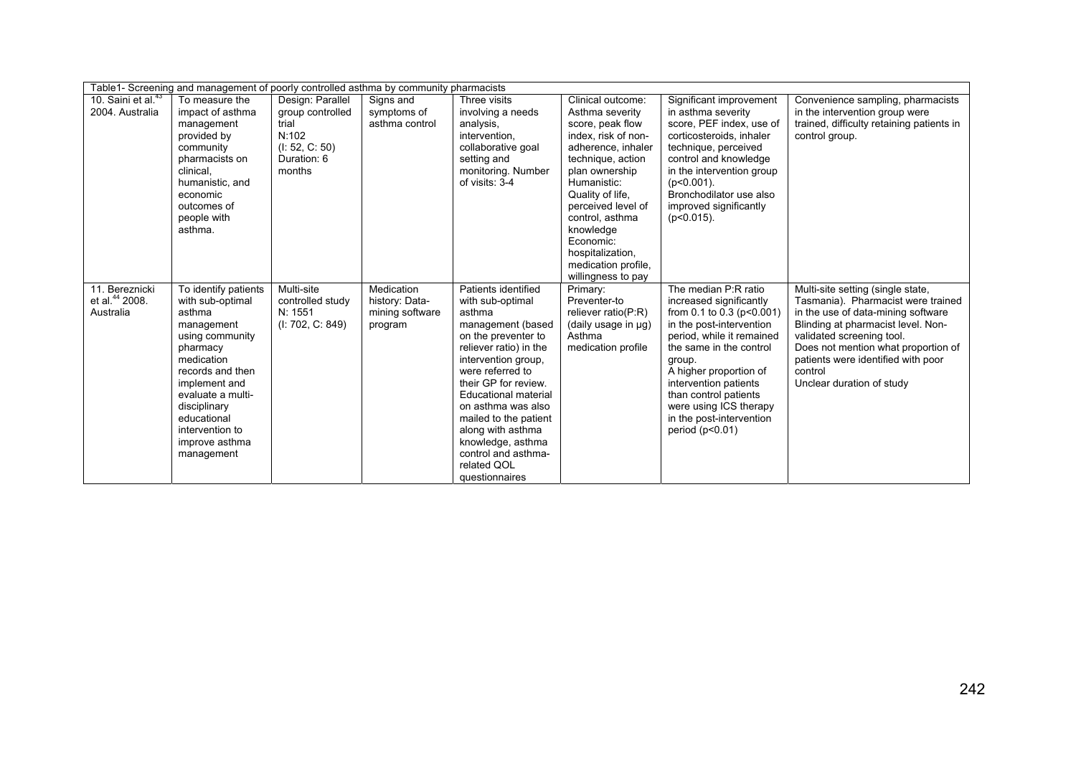|                                                           | Table1- Screening and management of poorly controlled asthma by community pharmacists                                                                                                                                                                     |                                                                                                   |                                                            |                                                                                                                                                                                                                                                                                                                                                                            |                                                                                                                                                                                                                                                                                                                     |                                                                                                                                                                                                                                                                                                                                            |                                                                                                                                                                                                                                                                                                       |  |  |  |
|-----------------------------------------------------------|-----------------------------------------------------------------------------------------------------------------------------------------------------------------------------------------------------------------------------------------------------------|---------------------------------------------------------------------------------------------------|------------------------------------------------------------|----------------------------------------------------------------------------------------------------------------------------------------------------------------------------------------------------------------------------------------------------------------------------------------------------------------------------------------------------------------------------|---------------------------------------------------------------------------------------------------------------------------------------------------------------------------------------------------------------------------------------------------------------------------------------------------------------------|--------------------------------------------------------------------------------------------------------------------------------------------------------------------------------------------------------------------------------------------------------------------------------------------------------------------------------------------|-------------------------------------------------------------------------------------------------------------------------------------------------------------------------------------------------------------------------------------------------------------------------------------------------------|--|--|--|
| 10. Saini et al. <sup>43</sup><br>2004. Australia         | To measure the<br>impact of asthma<br>management<br>provided by<br>community<br>pharmacists on<br>clinical.<br>humanistic, and<br>economic<br>outcomes of<br>people with<br>asthma.                                                                       | Design: Parallel<br>group controlled<br>trial<br>N:102<br>(l: 52, C: 50)<br>Duration: 6<br>months | Signs and<br>symptoms of<br>asthma control                 | Three visits<br>involving a needs<br>analysis,<br>intervention.<br>collaborative goal<br>setting and<br>monitoring. Number<br>of visits: 3-4                                                                                                                                                                                                                               | Clinical outcome:<br>Asthma severity<br>score, peak flow<br>index. risk of non-<br>adherence, inhaler<br>technique, action<br>plan ownership<br>Humanistic:<br>Quality of life,<br>perceived level of<br>control. asthma<br>knowledge<br>Economic:<br>hospitalization,<br>medication profile.<br>willingness to pay | Significant improvement<br>in asthma severity<br>score, PEF index, use of<br>corticosteroids, inhaler<br>technique, perceived<br>control and knowledge<br>in the intervention group<br>$(p<0.001)$ .<br>Bronchodilator use also<br>improved significantly<br>$(p<0.015)$ .                                                                 | Convenience sampling, pharmacists<br>in the intervention group were<br>trained, difficulty retaining patients in<br>control group.                                                                                                                                                                    |  |  |  |
| 11. Bereznicki<br>et al. <sup>44</sup> 2008.<br>Australia | To identify patients<br>with sub-optimal<br>asthma<br>management<br>using community<br>pharmacy<br>medication<br>records and then<br>implement and<br>evaluate a multi-<br>disciplinary<br>educational<br>intervention to<br>improve asthma<br>management | Multi-site<br>controlled study<br>N: 1551<br>(I: 702, C: 849)                                     | Medication<br>history: Data-<br>mining software<br>program | Patients identified<br>with sub-optimal<br>asthma<br>management (based<br>on the preventer to<br>reliever ratio) in the<br>intervention group,<br>were referred to<br>their GP for review.<br><b>Educational material</b><br>on asthma was also<br>mailed to the patient<br>along with asthma<br>knowledge, asthma<br>control and asthma-<br>related QOL<br>questionnaires | Primary:<br>Preventer-to<br>reliever ratio(P:R)<br>(daily usage in µg)<br>Asthma<br>medication profile                                                                                                                                                                                                              | The median P:R ratio<br>increased significantly<br>from $0.1$ to $0.3$ (p < $0.001$ )<br>in the post-intervention<br>period, while it remained<br>the same in the control<br>group.<br>A higher proportion of<br>intervention patients<br>than control patients<br>were using ICS therapy<br>in the post-intervention<br>period $(p<0.01)$ | Multi-site setting (single state,<br>Tasmania). Pharmacist were trained<br>in the use of data-mining software<br>Blinding at pharmacist level. Non-<br>validated screening tool.<br>Does not mention what proportion of<br>patients were identified with poor<br>control<br>Unclear duration of study |  |  |  |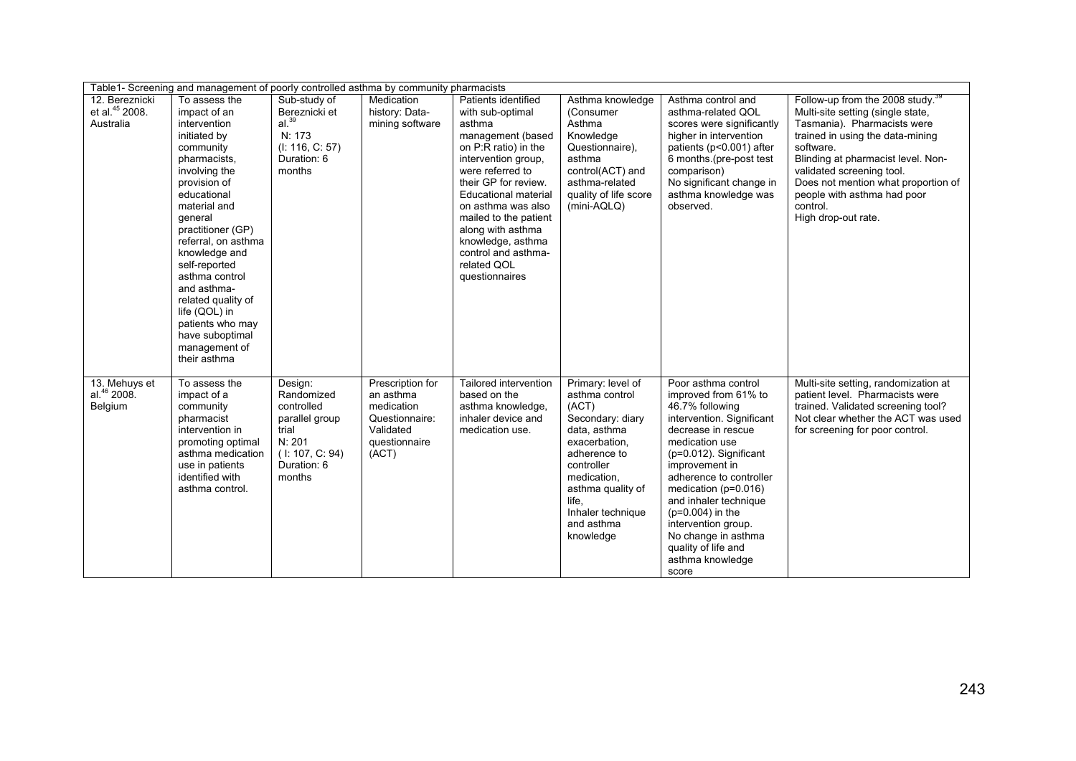|                                                           | Table1- Screening and management of poorly controlled asthma by community pharmacists                                                                                                                                                                                                                                                                                                               |                                                                                                                      |                                                                                                      |                                                                                                                                                                                                                                                                                                                                            |                                                                                                                                                                                                                              |                                                                                                                                                                                                                                                                                                                                                                                            |                                                                                                                                                                                                                                                                                                                                               |  |  |  |
|-----------------------------------------------------------|-----------------------------------------------------------------------------------------------------------------------------------------------------------------------------------------------------------------------------------------------------------------------------------------------------------------------------------------------------------------------------------------------------|----------------------------------------------------------------------------------------------------------------------|------------------------------------------------------------------------------------------------------|--------------------------------------------------------------------------------------------------------------------------------------------------------------------------------------------------------------------------------------------------------------------------------------------------------------------------------------------|------------------------------------------------------------------------------------------------------------------------------------------------------------------------------------------------------------------------------|--------------------------------------------------------------------------------------------------------------------------------------------------------------------------------------------------------------------------------------------------------------------------------------------------------------------------------------------------------------------------------------------|-----------------------------------------------------------------------------------------------------------------------------------------------------------------------------------------------------------------------------------------------------------------------------------------------------------------------------------------------|--|--|--|
| 12. Bereznicki<br>et al. <sup>45</sup> 2008.<br>Australia | To assess the<br>impact of an<br>intervention<br>initiated by<br>community<br>pharmacists.<br>involving the<br>provision of<br>educational<br>material and<br>general<br>practitioner (GP)<br>referral, on asthma<br>knowledge and<br>self-reported<br>asthma control<br>and asthma-<br>related quality of<br>life (QOL) in<br>patients who may<br>have suboptimal<br>management of<br>their asthma | Sub-study of<br>Bereznicki et<br>al. <sup>39</sup><br>N: 173<br>(I: 116, C: 57)<br>Duration: 6<br>months             | Medication<br>history: Data-<br>mining software                                                      | Patients identified<br>with sub-optimal<br>asthma<br>management (based<br>on P:R ratio) in the<br>intervention group,<br>were referred to<br>their GP for review.<br>Educational material<br>on asthma was also<br>mailed to the patient<br>along with asthma<br>knowledge, asthma<br>control and asthma-<br>related QOL<br>questionnaires | Asthma knowledge<br>(Consumer<br>Asthma<br>Knowledge<br>Questionnaire),<br>asthma<br>control(ACT) and<br>asthma-related<br>quality of life score<br>(mini-AQLQ)                                                              | Asthma control and<br>asthma-related QOL<br>scores were significantly<br>higher in intervention<br>patients (p<0.001) after<br>6 months.(pre-post test<br>comparison)<br>No significant change in<br>asthma knowledge was<br>observed.                                                                                                                                                     | Follow-up from the 2008 study. <sup>39</sup><br>Multi-site setting (single state,<br>Tasmania). Pharmacists were<br>trained in using the data-mining<br>software.<br>Blinding at pharmacist level. Non-<br>validated screening tool.<br>Does not mention what proportion of<br>people with asthma had poor<br>control.<br>High drop-out rate. |  |  |  |
| 13. Mehuys et<br>al. <sup>46</sup> 2008.<br>Belgium       | To assess the<br>impact of a<br>community<br>pharmacist<br>intervention in<br>promoting optimal<br>asthma medication<br>use in patients<br>identified with<br>asthma control.                                                                                                                                                                                                                       | Design:<br>Randomized<br>controlled<br>parallel group<br>trial<br>N: 201<br>(1: 107, C: 94)<br>Duration: 6<br>months | Prescription for<br>an asthma<br>medication<br>Questionnaire:<br>Validated<br>questionnaire<br>(ACT) | Tailored intervention<br>based on the<br>asthma knowledge,<br>inhaler device and<br>medication use.                                                                                                                                                                                                                                        | Primary: level of<br>asthma control<br>(ACT)<br>Secondary: diary<br>data, asthma<br>exacerbation,<br>adherence to<br>controller<br>medication,<br>asthma quality of<br>life.<br>Inhaler technique<br>and asthma<br>knowledge | Poor asthma control<br>improved from 61% to<br>46.7% following<br>intervention. Significant<br>decrease in rescue<br>medication use<br>$(p=0.012)$ . Significant<br>improvement in<br>adherence to controller<br>medication ( $p=0.016$ )<br>and inhaler technique<br>$(p=0.004)$ in the<br>intervention group.<br>No change in asthma<br>quality of life and<br>asthma knowledge<br>score | Multi-site setting, randomization at<br>patient level. Pharmacists were<br>trained. Validated screening tool?<br>Not clear whether the ACT was used<br>for screening for poor control.                                                                                                                                                        |  |  |  |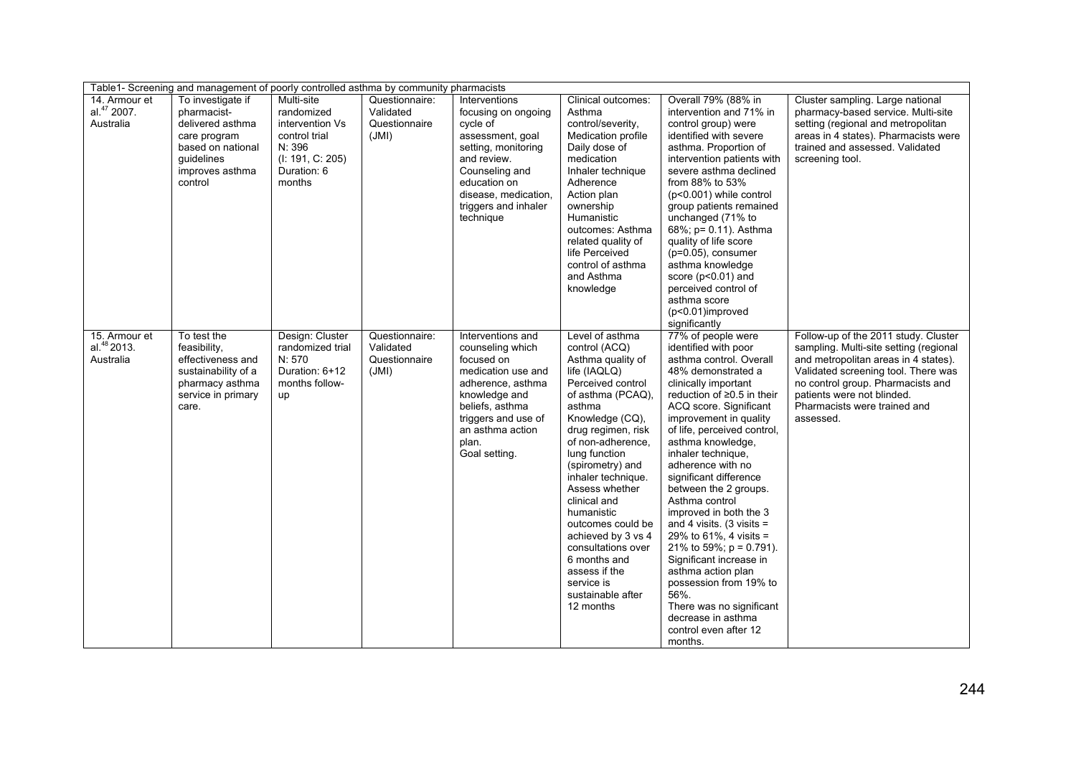| Table1- Screening and management of poorly controlled asthma by community pharmacists |                                                                                                                                              |                                                                                                                     |                                                       |                                                                                                                                                                                                           |                                                                                                                                                                                                                                                                                                                                                                                                                                                      |                                                                                                                                                                                                                                                                                                                                                                                                                                                                                                                                                                                                                                                                                   |                                                                                                                                                                                                                                                                               |  |  |  |
|---------------------------------------------------------------------------------------|----------------------------------------------------------------------------------------------------------------------------------------------|---------------------------------------------------------------------------------------------------------------------|-------------------------------------------------------|-----------------------------------------------------------------------------------------------------------------------------------------------------------------------------------------------------------|------------------------------------------------------------------------------------------------------------------------------------------------------------------------------------------------------------------------------------------------------------------------------------------------------------------------------------------------------------------------------------------------------------------------------------------------------|-----------------------------------------------------------------------------------------------------------------------------------------------------------------------------------------------------------------------------------------------------------------------------------------------------------------------------------------------------------------------------------------------------------------------------------------------------------------------------------------------------------------------------------------------------------------------------------------------------------------------------------------------------------------------------------|-------------------------------------------------------------------------------------------------------------------------------------------------------------------------------------------------------------------------------------------------------------------------------|--|--|--|
| 14. Armour et<br>al. <sup>47</sup> 2007.<br>Australia                                 | To investigate if<br>pharmacist-<br>delivered asthma<br>care program<br>based on national<br><i>auidelines</i><br>improves asthma<br>control | Multi-site<br>randomized<br>intervention Vs<br>control trial<br>N: 396<br>(I: 191, C: 205)<br>Duration: 6<br>months | Questionnaire:<br>Validated<br>Questionnaire<br>(JMI) | Interventions<br>focusing on ongoing<br>cycle of<br>assessment, goal<br>setting, monitoring<br>and review.<br>Counseling and<br>education on<br>disease, medication,<br>triggers and inhaler<br>technique | Clinical outcomes:<br>Asthma<br>control/severity,<br>Medication profile<br>Daily dose of<br>medication<br>Inhaler technique<br>Adherence<br>Action plan<br>ownership<br>Humanistic<br>outcomes: Asthma<br>related quality of<br>life Perceived<br>control of asthma<br>and Asthma<br>knowledge                                                                                                                                                       | Overall 79% (88% in<br>intervention and 71% in<br>control group) were<br>identified with severe<br>asthma. Proportion of<br>intervention patients with<br>severe asthma declined<br>from 88% to 53%<br>$(p<0.001)$ while control<br>group patients remained<br>unchanged (71% to<br>68%; p= 0.11). Asthma<br>quality of life score<br>$(p=0.05)$ , consumer<br>asthma knowledge<br>score ( $p<0.01$ ) and<br>perceived control of<br>asthma score<br>(p<0.01)improved<br>significantly                                                                                                                                                                                            | Cluster sampling. Large national<br>pharmacy-based service. Multi-site<br>setting (regional and metropolitan<br>areas in 4 states). Pharmacists were<br>trained and assessed. Validated<br>screening tool.                                                                    |  |  |  |
| 15. Armour et<br>al. <sup>48</sup> 2013.<br>Australia                                 | To test the<br>feasibility,<br>effectiveness and<br>sustainability of a<br>pharmacy asthma<br>service in primary<br>care.                    | Design: Cluster<br>randomized trial<br>N: 570<br>Duration: 6+12<br>months follow-<br>up                             | Questionnaire:<br>Validated<br>Questionnaire<br>(JMI) | Interventions and<br>counseling which<br>focused on<br>medication use and<br>adherence, asthma<br>knowledge and<br>beliefs, asthma<br>triggers and use of<br>an asthma action<br>plan.<br>Goal setting.   | Level of asthma<br>control (ACQ)<br>Asthma quality of<br>life (IAQLQ)<br>Perceived control<br>of asthma (PCAQ),<br>asthma<br>Knowledge (CQ),<br>drug regimen, risk<br>of non-adherence.<br>lung function<br>(spirometry) and<br>inhaler technique.<br>Assess whether<br>clinical and<br>humanistic<br>outcomes could be<br>achieved by 3 vs 4<br>consultations over<br>6 months and<br>assess if the<br>service is<br>sustainable after<br>12 months | 77% of people were<br>identified with poor<br>asthma control. Overall<br>48% demonstrated a<br>clinically important<br>reduction of $\geq$ 0.5 in their<br>ACQ score. Significant<br>improvement in quality<br>of life, perceived control,<br>asthma knowledge,<br>inhaler technique.<br>adherence with no<br>significant difference<br>between the 2 groups.<br>Asthma control<br>improved in both the 3<br>and 4 visits. $(3 \text{ visits} =$<br>29% to 61%, 4 visits =<br>21% to 59%; $p = 0.791$ ).<br>Significant increase in<br>asthma action plan<br>possession from 19% to<br>56%.<br>There was no significant<br>decrease in asthma<br>control even after 12<br>months. | Follow-up of the 2011 study. Cluster<br>sampling. Multi-site setting (regional<br>and metropolitan areas in 4 states).<br>Validated screening tool. There was<br>no control group. Pharmacists and<br>patients were not blinded.<br>Pharmacists were trained and<br>assessed. |  |  |  |